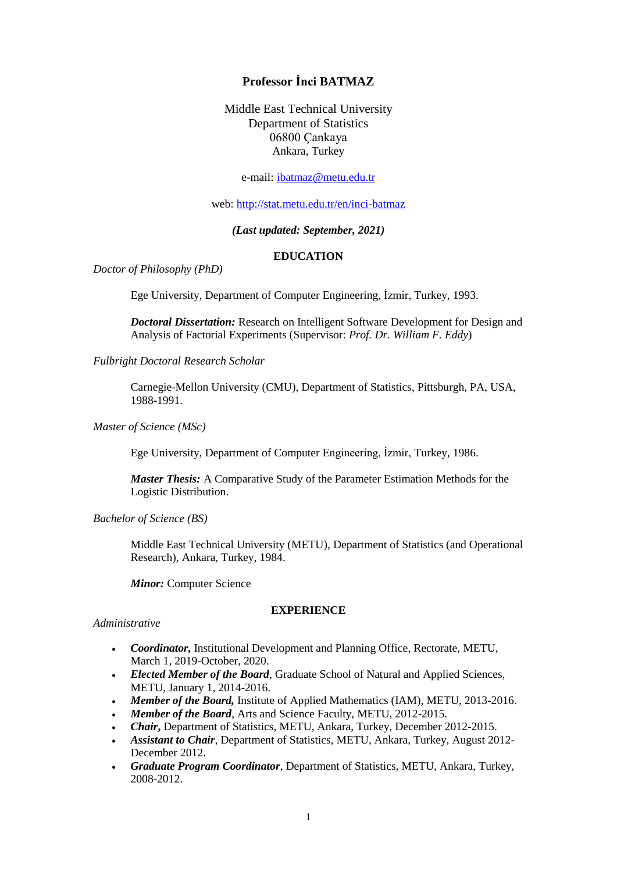# **Professor İnci BATMAZ**

Middle East Technical University Department of Statistics 06800 Çankaya Ankara, Turkey

### e-mail: [ibatmaz@metu.edu.tr](mailto:ibatmaz@metu.edu.tr)

web: http://stat.metu.edu.tr/en/inci-batmaz

### *(Last updated: September, 2021)*

## **EDUCATION**

*Doctor of Philosophy (PhD)* 

Ege University, Department of Computer Engineering, İzmir, Turkey, 1993.

*Doctoral Dissertation:* Research on Intelligent Software Development for Design and Analysis of Factorial Experiments (Supervisor: *Prof. Dr. William F. Eddy*)

*Fulbright Doctoral Research Scholar*

Carnegie-Mellon University (CMU), Department of Statistics, Pittsburgh, PA, USA, 1988-1991.

*Master of Science (MSc)*

Ege University, Department of Computer Engineering, İzmir, Turkey, 1986.

*Master Thesis:* A Comparative Study of the Parameter Estimation Methods for the Logistic Distribution.

*Bachelor of Science (BS)*

Middle East Technical University (METU), Department of Statistics (and Operational Research), Ankara, Turkey, 1984.

*Minor:* Computer Science

### **EXPERIENCE**

## *Administrative*

- *Coordinator,* Institutional Development and Planning Office, Rectorate, METU, March 1, 2019-October, 2020.
- *Elected Member of the Board*, Graduate School of Natural and Applied Sciences, METU, January 1, 2014-2016.
- *Member of the Board,* Institute of Applied Mathematics (IAM), METU, 2013-2016.
- *Member of the Board*, Arts and Science Faculty, METU, 2012-2015.
- *Chair***,** Department of Statistics, METU, Ankara, Turkey, December 2012-2015.
- *Assistant to Chair*, Department of Statistics, METU, Ankara, Turkey, August 2012- December 2012.
- *Graduate Program Coordinator*, Department of Statistics, METU, Ankara, Turkey, 2008-2012.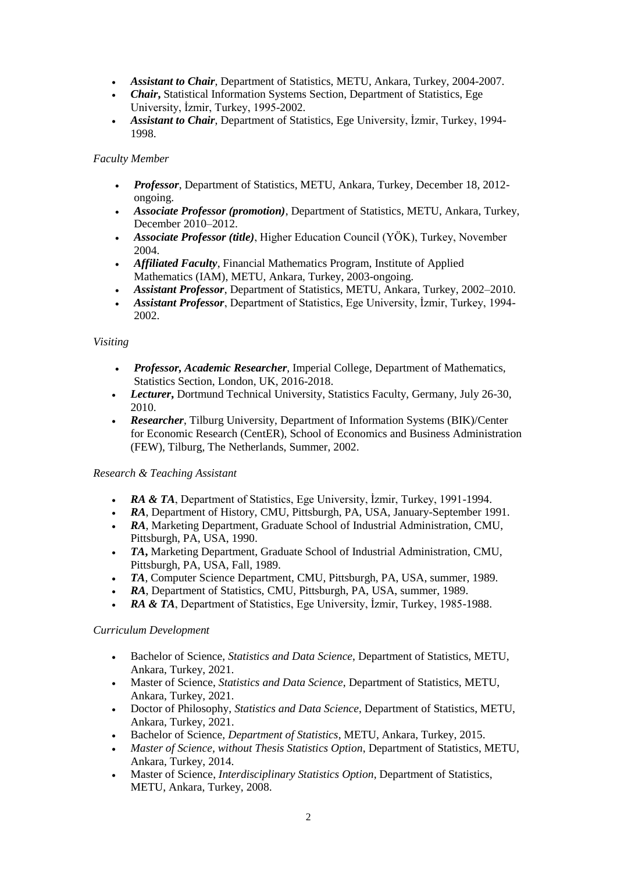- *Assistant to Chair*, Department of Statistics, METU, Ankara, Turkey, 2004-2007.
- *Chair***,** Statistical Information Systems Section, Department of Statistics, Ege University, İzmir, Turkey, 1995-2002.
- *Assistant to Chair*, Department of Statistics, Ege University, İzmir, Turkey, 1994- 1998.

## *Faculty Member*

- *Professor*, Department of Statistics, METU, Ankara, Turkey, December 18, 2012 ongoing.
- *Associate Professor (promotion)*, Department of Statistics, METU, Ankara, Turkey, December 2010–2012.
- *Associate Professor (title)*, Higher Education Council (YÖK), Turkey, November 2004.
- *Affiliated Faculty*, Financial Mathematics Program, Institute of Applied Mathematics (IAM), METU, Ankara, Turkey, 2003-ongoing.
- *Assistant Professor*, Department of Statistics, METU, Ankara, Turkey, 2002–2010.
- *Assistant Professor*, Department of Statistics, Ege University, İzmir, Turkey, 1994- 2002.

# *Visiting*

- *Professor, Academic Researcher*, Imperial College, Department of Mathematics, Statistics Section, London, UK, 2016-2018.
- *Lecturer***,** Dortmund Technical University, Statistics Faculty, Germany, July 26-30, 2010.
- *Researcher*, Tilburg University, Department of Information Systems (BIK)/Center for Economic Research (CentER), School of Economics and Business Administration (FEW), Tilburg, The Netherlands, Summer, 2002.

## *Research & Teaching Assistant*

- *RA & TA*, Department of Statistics, Ege University, İzmir, Turkey, 1991-1994.
- *RA*, Department of History, CMU, Pittsburgh, PA, USA, January-September 1991.
- *RA*, Marketing Department, Graduate School of Industrial Administration, CMU, Pittsburgh, PA, USA, 1990.
- *TA***,** Marketing Department, Graduate School of Industrial Administration, CMU, Pittsburgh, PA, USA, Fall, 1989.
- *TA*, Computer Science Department, CMU, Pittsburgh, PA, USA, summer, 1989.
- *RA*, Department of Statistics, CMU, Pittsburgh, PA, USA, summer, 1989.
- *RA & TA*, Department of Statistics, Ege University, İzmir, Turkey, 1985-1988.

## *Curriculum Development*

- Bachelor of Science, *Statistics and Data Science*, Department of Statistics, METU, Ankara, Turkey, 2021.
- Master of Science, *Statistics and Data Science*, Department of Statistics, METU, Ankara, Turkey, 2021.
- Doctor of Philosophy, *Statistics and Data Science*, Department of Statistics, METU, Ankara, Turkey, 2021.
- Bachelor of Science, *Department of Statistics*, METU, Ankara, Turkey, 2015.
- *Master of Science, without Thesis Statistics Option*, Department of Statistics, METU, Ankara, Turkey, 2014.
- Master of Science, *Interdisciplinary Statistics Option*, Department of Statistics, METU, Ankara, Turkey, 2008.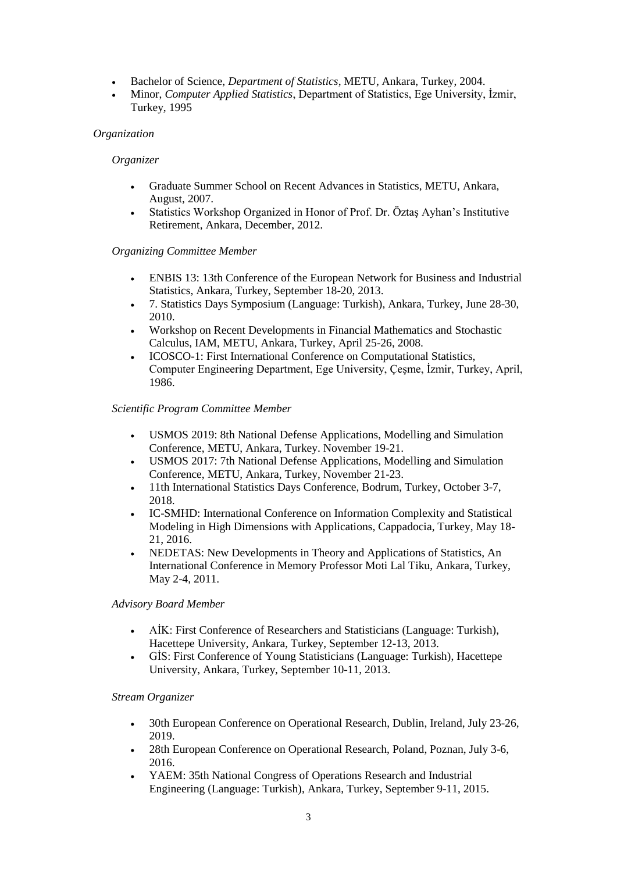- Bachelor of Science, *Department of Statistics*, METU, Ankara, Turkey, 2004.
- Minor, *Computer Applied Statistics*, Department of Statistics, Ege University, İzmir, Turkey, 1995

# *Organization*

## *Organizer*

- Graduate Summer School on Recent Advances in Statistics, METU, Ankara, August, 2007.
- Statistics Workshop Organized in Honor of Prof. Dr. Öztaş Ayhan's Institutive Retirement, Ankara, December, 2012.

# *Organizing Committee Member*

- ENBIS 13: 13th Conference of the European Network for Business and Industrial Statistics, Ankara, Turkey, September 18-20, 2013.
- 7. Statistics Days Symposium (Language: Turkish), Ankara, Turkey, June 28-30, 2010.
- Workshop on Recent Developments in Financial Mathematics and Stochastic Calculus, IAM, METU, Ankara, Turkey, April 25-26, 2008.
- ICOSCO-1: First International Conference on Computational Statistics, Computer Engineering Department, Ege University, Çeşme, İzmir, Turkey, April, 1986.

## *Scientific Program Committee Member*

- USMOS 2019: 8th National Defense Applications, Modelling and Simulation Conference, METU, Ankara, Turkey. November 19-21.
- USMOS 2017: 7th National Defense Applications, Modelling and Simulation Conference, METU, Ankara, Turkey, November 21-23.
- 11th International Statistics Days Conference, Bodrum, Turkey, October 3-7, 2018.
- IC-SMHD: International Conference on Information Complexity and Statistical Modeling in High Dimensions with Applications, Cappadocia, Turkey, May 18- 21, 2016.
- NEDETAS: New Developments in Theory and Applications of Statistics, An International Conference in Memory Professor Moti Lal Tiku, Ankara, Turkey, May 2-4, 2011.

## *Advisory Board Member*

- AİK: First Conference of Researchers and Statisticians (Language: Turkish), Hacettepe University, Ankara, Turkey, September 12-13, 2013.
- GİS: First Conference of Young Statisticians (Language: Turkish), Hacettepe University, Ankara, Turkey, September 10-11, 2013.

## *Stream Organizer*

- 30th European Conference on Operational Research, Dublin, Ireland, July 23-26, 2019.
- 28th European Conference on Operational Research, Poland, Poznan, July 3-6, 2016.
- YAEM: 35th National Congress of Operations Research and Industrial Engineering (Language: Turkish), Ankara, Turkey, September 9-11, 2015.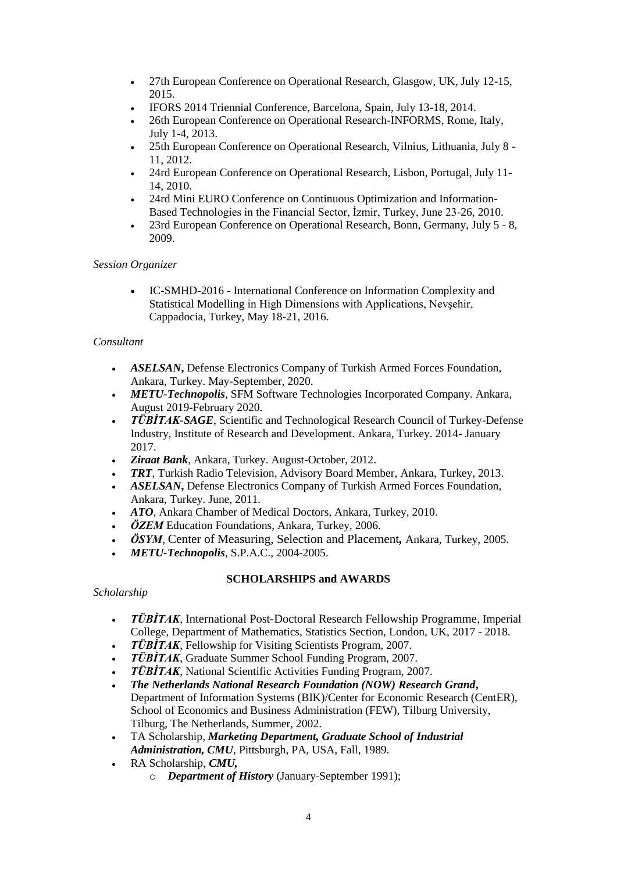- 27th European Conference on Operational Research, Glasgow, UK, July 12-15, 2015.
- IFORS 2014 Triennial Conference, Barcelona, Spain, July 13-18, 2014.
- 26th European Conference on Operational Research-INFORMS, Rome, Italy, July 1-4, 2013.
- 25th European Conference on Operational Research, Vilnius, Lithuania, July 8 11, 2012.
- 24rd European Conference on Operational Research, Lisbon, Portugal, July 11- 14, 2010.
- 24rd Mini EURO Conference on Continuous Optimization and Information-Based Technologies in the Financial Sector, İzmir, Turkey, June 23-26, 2010.
- 23rd European Conference on Operational Research, Bonn, Germany, July 5 8, 2009.

# *Session Organizer*

IC-SMHD-2016 - International Conference on Information Complexity and Statistical Modelling in High Dimensions with Applications, Nevşehir, Cappadocia, Turkey, May 18-21, 2016.

# *Consultant*

- *ASELSAN***,** Defense Electronics Company of Turkish Armed Forces Foundation, Ankara, Turkey. May-September, 2020.
- *METU-Technopolis*, SFM Software Technologies Incorporated Company. Ankara, August 2019-February 2020.
- *TÜBİTAK-SAGE*, Scientific and Technological Research Council of Turkey-Defense Industry, Institute of Research and Development. Ankara, Turkey. 2014- January 2017.
- *Ziraat Bank*, Ankara, Turkey. August-October, 2012.
- *TRT*, Turkish Radio Television, Advisory Board Member, Ankara, Turkey, 2013.
- *ASELSAN***,** Defense Electronics Company of Turkish Armed Forces Foundation, Ankara, Turkey. June, 2011.
- *ATO*, Ankara Chamber of Medical Doctors, Ankara, Turkey, 2010.
- *ÖZEM* Education Foundations, Ankara, Turkey, 2006.
- *ÖSYM*, Center of Measuring, Selection and Placement*,* Ankara, Turkey, 2005.
- *METU-Technopolis*, S.P.A.C., 2004-2005.

# **SCHOLARSHIPS and AWARDS**

# *Scholarship*

- *TÜBİTAK*, International Post-Doctoral Research Fellowship Programme, Imperial College, Department of Mathematics, Statistics Section, London, UK, 2017 - 2018.
- *TÜBİTAK*, Fellowship for Visiting Scientists Program, 2007.
- *TÜBİTAK*, Graduate Summer School Funding Program, 2007.
- *TÜBİTAK*, National Scientific Activities Funding Program, 2007.
- *The Netherlands National Research Foundation (NOW) Research Grand***,** Department of Information Systems (BIK)/Center for Economic Research (CentER), School of Economics and Business Administration (FEW), Tilburg University, Tilburg, The Netherlands, Summer, 2002.
- TA Scholarship, *Marketing Department, Graduate School of Industrial Administration, CMU*, Pittsburgh, PA, USA, Fall, 1989.
- RA Scholarship, *CMU,* 
	- o *Department of History* (January-September 1991);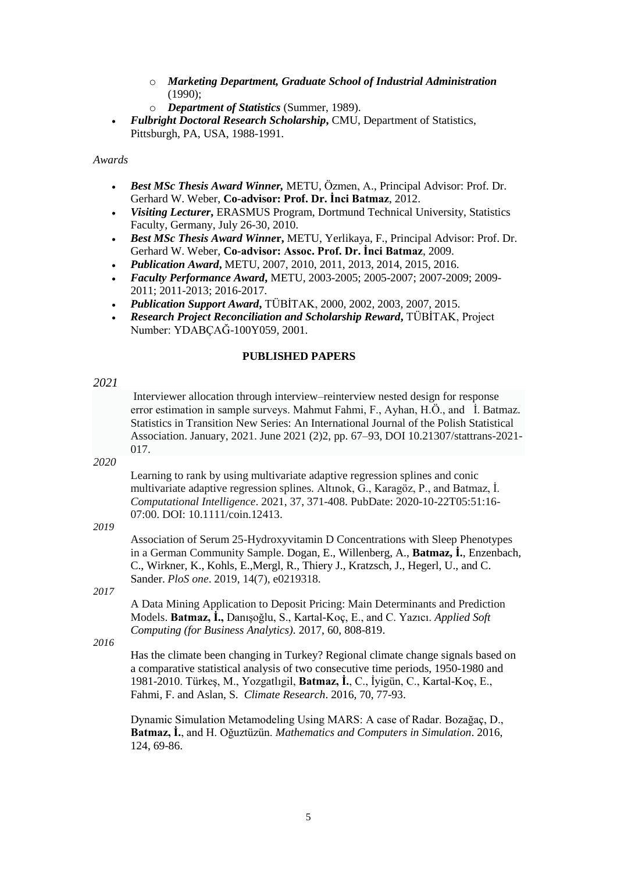- o *Marketing Department, Graduate School of Industrial Administration* (1990);
- o *Department of Statistics* (Summer, 1989).
- *Fulbright Doctoral Research Scholarship***,** CMU, Department of Statistics, Pittsburgh, PA, USA, 1988-1991.

*Awards* 

- *Best MSc Thesis Award Winner,* METU, Özmen, A., Principal Advisor: Prof. Dr. Gerhard W. Weber, **Co-advisor: Prof. Dr. İnci Batmaz**, 2012.
- *Visiting Lecturer***,** ERASMUS Program, Dortmund Technical University, Statistics Faculty, Germany, July 26-30, 2010.
- *Best MSc Thesis Award Winne***r,** METU, Yerlikaya, F., Principal Advisor: Prof. Dr. Gerhard W. Weber, **Co-advisor: Assoc. Prof. Dr. İnci Batmaz**, 2009.
- *Publication Award***,** METU, 2007, 2010, 2011, 2013, 2014, 2015, 2016.
- *Faculty Performance Award***,** METU, 2003-2005; 2005-2007; 2007-2009; 2009- 2011; 2011-2013; 2016-2017.
- *Publication Support Award***,** TÜBİTAK, 2000, 2002, 2003, 2007, 2015.
- *Research Project Reconciliation and Scholarship Reward***,** TÜBİTAK, Project Number: YDABÇAĞ-100Y059, 2001.

### **PUBLISHED PAPERS**

#### *2021*

Interviewer allocation through interview–reinterview nested design for response error estimation in sample surveys. Mahmut Fahmi, F., Ayhan, H.Ö., and İ. Batmaz. Statistics in Transition New Series: An International Journal of the Polish Statistical Association. January, 2021. June 2021 (2)2, pp. 67–93, DOI 10.21307/stattrans-2021- 017.

*2020*

Learning to rank by using multivariate adaptive regression splines and conic multivariate adaptive regression splines. Altınok, G., Karagöz, P., and Batmaz, İ. *Computational Intelligence*. 2021, 37, 371-408. PubDate: 2020-10-22T05:51:16- 07:00. DOI: 10.1111/coin.12413.

### *2019*

Association of Serum 25-Hydroxyvitamin D Concentrations with Sleep Phenotypes in a German Community Sample. Dogan, E., Willenberg, A., **Batmaz, İ.**, Enzenbach, C., Wirkner, K., Kohls, E.,Mergl, R., Thiery J., Kratzsch, J., Hegerl, U., and C. Sander. *PloS one*. 2019, 14(7), e0219318.

*2017*

A Data Mining Application to Deposit Pricing: Main Determinants and Prediction Models. **Batmaz, İ.,** Danışoğlu, S., Kartal-Koç, E., and C. Yazıcı. *Applied Soft Computing (for Business Analytics).* 2017, 60, 808-819.

*2016*

Has the climate been changing in Turkey? Regional climate change signals based on a comparative statistical analysis of two consecutive time periods, 1950-1980 and 1981-2010. Türkeş, M., Yozgatlıgil, **Batmaz, İ.**, C., İyigün, C., Kartal-Koç, E., Fahmi, F. and Aslan, S. *Climate Research*. 2016, 70, 77-93.

Dynamic Simulation Metamodeling Using MARS: A case of Radar. Bozağaç, D., **Batmaz, İ.**, and H. Oğuztüzün. *Mathematics and Computers in Simulation*. 2016, 124, 69-86.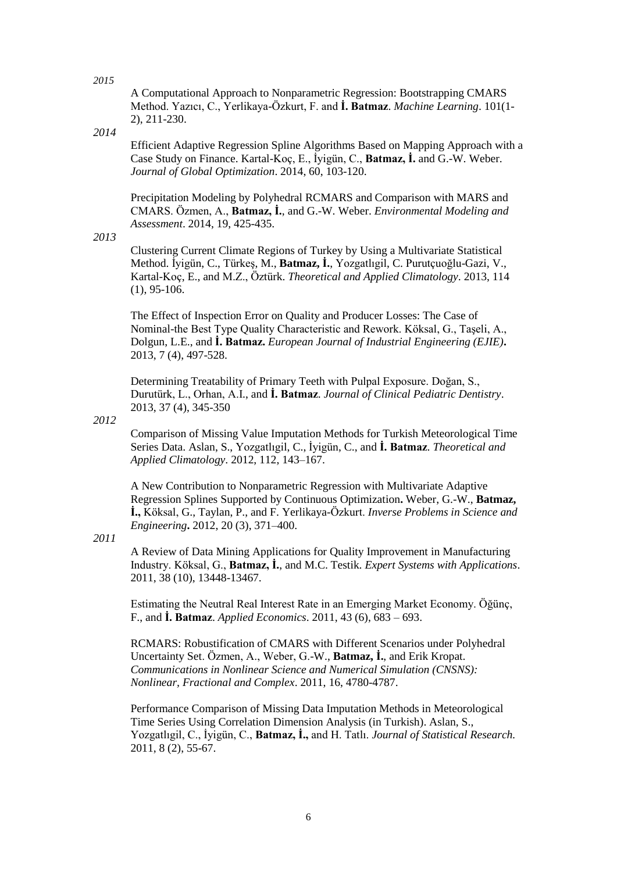A Computational Approach to Nonparametric Regression: Bootstrapping CMARS Method. Yazıcı, C., Yerlikaya-Özkurt, F. and **İ. Batmaz**. *Machine Learning*. 101(1- 2), 211-230.

*2014*

Efficient Adaptive Regression Spline Algorithms Based on Mapping Approach with a Case Study on Finance. Kartal-Koç, E., İyigün, C., **Batmaz, İ.** and G.-W. Weber. *Journal of Global Optimization*. 2014, 60, 103-120.

Precipitation Modeling by Polyhedral RCMARS and Comparison with MARS and CMARS. Özmen, A., **Batmaz, İ.**, and G.-W. Weber. *Environmental Modeling and Assessment*. 2014, 19, 425-435.

#### *2013*

Clustering Current Climate Regions of Turkey by Using a Multivariate Statistical Method. İyigün, C., Türkeş, M., **Batmaz, İ.**, Yozgatlıgil, C. Purutçuoğlu-Gazi, V., Kartal-Koç, E., and M.Z., Öztürk. *Theoretical and Applied Climatology*. 2013, 114 (1), 95-106.

The Effect of Inspection Error on Quality and Producer Losses: The Case of Nominal-the Best Type Quality Characteristic and Rework. Köksal, G., Taşeli, A., Dolgun, L.E., and **İ. Batmaz.** *European Journal of Industrial Engineering (EJIE)***.**  2013, 7 (4), 497-528.

Determining Treatability of Primary Teeth with Pulpal Exposure. Doğan, S., Durutürk, L., Orhan, A.I., and **İ. Batmaz**. *Journal of Clinical Pediatric Dentistry*. 2013, 37 (4), 345-350

*2012*

Comparison of Missing Value Imputation Methods for Turkish Meteorological Time Series Data. Aslan, S., Yozgatlıgil, C., İyigün, C., and **İ. Batmaz**. *Theoretical and Applied Climatology*. 2012, 112, 143–167.

A New Contribution to Nonparametric Regression with Multivariate Adaptive Regression Splines Supported by Continuous Optimization**.** Weber, G.-W., **Batmaz, İ.,** Köksal, G., Taylan, P., and F. Yerlikaya-Özkurt. *Inverse Problems in Science and Engineering***.** 2012, 20 (3), 371–400.

*2011*

A Review of Data Mining Applications for Quality Improvement in Manufacturing Industry. Köksal, G., **Batmaz, İ.**, and M.C. Testik. *Expert Systems with Applications*. 2011, 38 (10), 13448-13467.

Estimating the Neutral Real Interest Rate in an Emerging Market Economy. Öğünç, F., and **İ. Batmaz**. *Applied Economics*. 2011, 43 (6), 683 – 693.

RCMARS: Robustification of CMARS with Different Scenarios under Polyhedral Uncertainty Set. Özmen, A., Weber, G.-W., **Batmaz, İ.**, and Erik Kropat. *Communications in Nonlinear Science and Numerical Simulation (CNSNS): Nonlinear, Fractional and Complex*. 2011, 16, 4780-4787.

Performance Comparison of Missing Data Imputation Methods in Meteorological Time Series Using Correlation Dimension Analysis (in Turkish). Aslan, S., Yozgatlıgil, C., İyigün, C., **Batmaz, İ.,** and H. Tatlı. *Journal of Statistical Research.*  2011, 8 (2), 55-67.

*2015*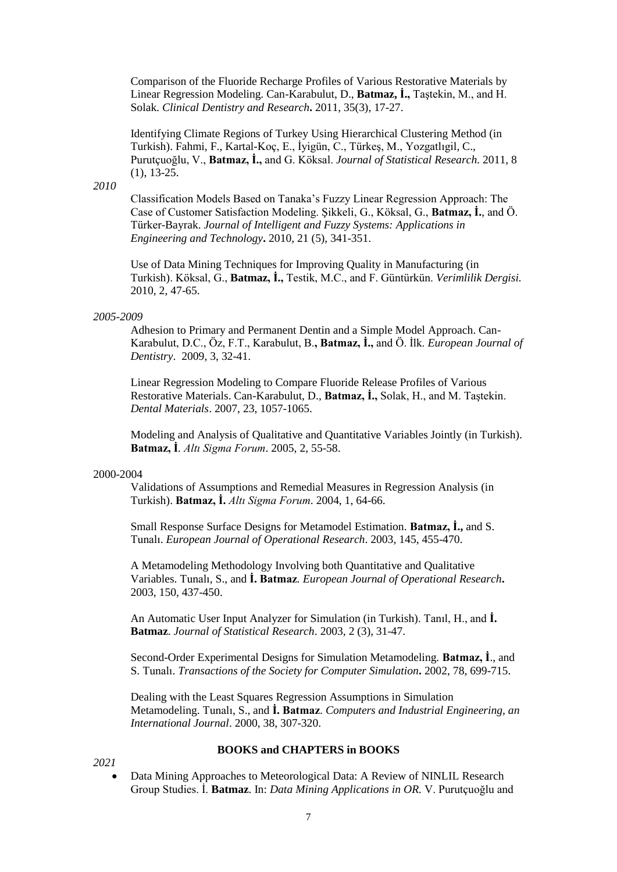Comparison of the Fluoride Recharge Profiles of Various Restorative Materials by Linear Regression Modeling. Can-Karabulut, D., **Batmaz, İ.,** Taştekin, M., and H. Solak. *Clinical Dentistry and Research***.** 2011, 35(3), 17-27.

Identifying Climate Regions of Turkey Using Hierarchical Clustering Method (in Turkish). Fahmi, F., Kartal-Koç, E., İyigün, C., Türkeş, M., Yozgatlıgil, C., Purutçuoğlu, V., **Batmaz, İ.,** and G. Köksal. *Journal of Statistical Research.* 2011, 8 (1), 13-25.

#### *2010*

Classification Models Based on Tanaka's Fuzzy Linear Regression Approach: The Case of Customer Satisfaction Modeling. Şikkeli, G., Köksal, G., **Batmaz, İ.**, and Ö. Türker-Bayrak. *Journal of Intelligent and Fuzzy Systems: Applications in Engineering and Technology***.** 2010, 21 (5), 341-351.

Use of Data Mining Techniques for Improving Quality in Manufacturing (in Turkish). Köksal, G., **Batmaz, İ.,** Testik, M.C., and F. Güntürkün. *Verimlilik Dergisi.* 2010, 2, 47-65.

#### *2005-2009*

Adhesion to Primary and Permanent Dentin and a Simple Model Approach. Can-Karabulut, D.C., Öz, F.T., Karabulut, B.**, Batmaz, İ.,** and Ö. İlk. *European Journal of Dentistry*. 2009, 3, 32-41.

Linear Regression Modeling to Compare Fluoride Release Profiles of Various Restorative Materials. Can-Karabulut, D., **Batmaz, İ.,** Solak, H., and M. Taştekin. *Dental Materials*. 2007, 23, 1057-1065.

Modeling and Analysis of Qualitative and Quantitative Variables Jointly (in Turkish). **Batmaz, İ***. Altı Sigma Forum*. 2005, 2, 55-58.

#### 2000-2004

Validations of Assumptions and Remedial Measures in Regression Analysis (in Turkish). **Batmaz, İ.** *Altı Sigma Forum*. 2004, 1, 64-66.

Small Response Surface Designs for Metamodel Estimation. **Batmaz, İ.,** and S. Tunalı. *European Journal of Operational Research*. 2003, 145, 455-470.

A Metamodeling Methodology Involving both Quantitative and Qualitative Variables. Tunalı, S., and **İ. Batmaz***. European Journal of Operational Research***.** 2003, 150, 437-450.

An Automatic User Input Analyzer for Simulation (in Turkish). Tanıl, H., and **İ. Batmaz**. *Journal of Statistical Research*. 2003, 2 (3), 31-47.

Second-Order Experimental Designs for Simulation Metamodeling. **Batmaz, İ**., and S. Tunalı. *Transactions of the Society for Computer Simulation***.** 2002, 78, 699-715.

Dealing with the Least Squares Regression Assumptions in Simulation Metamodeling. Tunalı, S., and **İ. Batmaz**. *Computers and Industrial Engineering, an International Journal*. 2000, 38, 307-320.

# *2021*

## **BOOKS and CHAPTERS in BOOKS**

 Data Mining Approaches to Meteorological Data: A Review of NINLIL Research Group Studies. İ. **Batmaz**. In: *Data Mining Applications in OR.* V. Purutçuoğlu and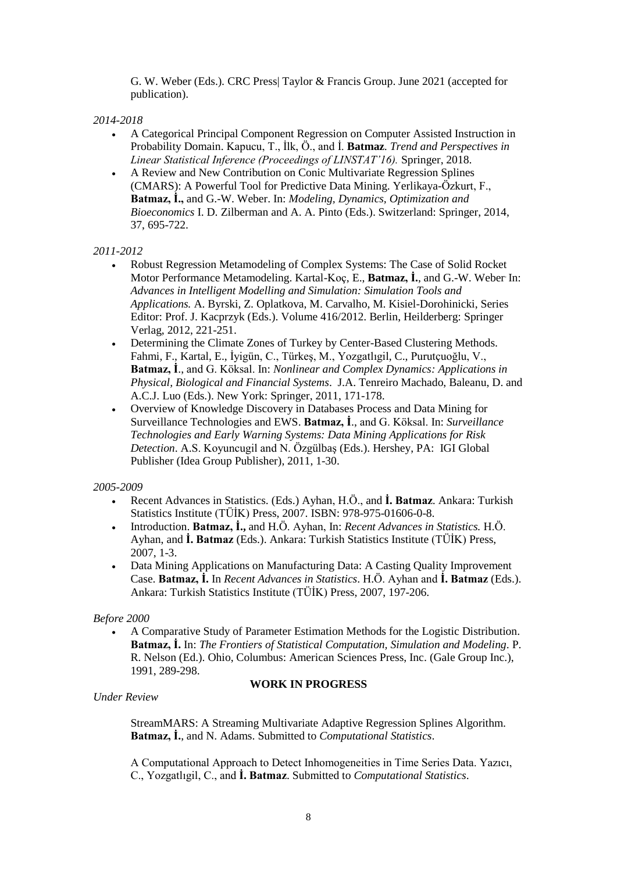G. W. Weber (Eds.)*.* CRC Press| Taylor & Francis Group. June 2021 (accepted for publication).

*2014-2018*

- A Categorical Principal Component Regression on Computer Assisted Instruction in Probability Domain. Kapucu, T., İlk, Ö., and İ. **Batmaz**. *Trend and Perspectives in Linear Statistical Inference (Proceedings of LINSTAT'16).* Springer, 2018.
- A Review and New Contribution on Conic Multivariate Regression Splines (CMARS): A Powerful Tool for Predictive Data Mining. Yerlikaya-Özkurt, F., **Batmaz, İ.,** and G.-W. Weber. In: *Modeling, Dynamics, Optimization and Bioeconomics* I. D. Zilberman and A. A. Pinto (Eds.). Switzerland: Springer, 2014, 37, 695-722.

# *2011-2012*

- Robust Regression Metamodeling of Complex Systems: The Case of Solid Rocket Motor Performance Metamodeling. Kartal-Koç, E., Batmaz, İ., and G.-W. Weber In: *Advances in Intelligent Modelling and Simulation: Simulation Tools and Applications.* A. Byrski, Z. Oplatkova, M. Carvalho, M. Kisiel-Dorohinicki, Series Editor: Prof. J. Kacprzyk (Eds.). Volume 416/2012. Berlin, Heilderberg: Springer Verlag, 2012, 221-251.
- Determining the Climate Zones of Turkey by Center-Based Clustering Methods. Fahmi, F., Kartal, E., İyigün, C., Türkeş, M., Yozgatlıgil, C., Purutçuoğlu, V., **Batmaz, İ**., and G. Köksal. In: *Nonlinear and Complex Dynamics: Applications in Physical, Biological and Financial Systems*. J.A. Tenreiro Machado, Baleanu, D. and A.C.J. Luo (Eds.). New York: Springer, 2011, 171-178.
- Overview of Knowledge Discovery in Databases Process and Data Mining for Surveillance Technologies and EWS. **Batmaz, İ**., and G. Köksal. In: *Surveillance Technologies and Early Warning Systems: Data Mining Applications for Risk Detection*. A.S. Koyuncugil and N. Özgülbaş (Eds.). Hershey, PA: IGI Global Publisher (Idea Group Publisher), 2011, 1-30.

## *2005-2009*

- Recent Advances in Statistics. (Eds.) Ayhan, H.Ö., and **İ. Batmaz**. Ankara: Turkish Statistics Institute (TÜİK) Press, 2007. ISBN: 978-975-01606-0-8.
- Introduction. **Batmaz, İ.,** and H.Ö. Ayhan, In: *Recent Advances in Statistics.* H.Ö. Ayhan, and **İ. Batmaz** (Eds.). Ankara: Turkish Statistics Institute (TÜİK) Press, 2007, 1-3.
- Data Mining Applications on Manufacturing Data: A Casting Quality Improvement Case. **Batmaz, İ.** In *Recent Advances in Statistics*. H.Ö. Ayhan and **İ. Batmaz** (Eds.). Ankara: Turkish Statistics Institute (TÜİK) Press, 2007, 197-206.

## *Before 2000*

 A Comparative Study of Parameter Estimation Methods for the Logistic Distribution. **Batmaz, İ.** In: *The Frontiers of Statistical Computation, Simulation and Modeling*. P. R. Nelson (Ed.). Ohio, Columbus: American Sciences Press, Inc. (Gale Group Inc.), 1991, 289-298.

## **WORK IN PROGRESS**

*Under Review*

StreamMARS: A Streaming Multivariate Adaptive Regression Splines Algorithm. **Batmaz, İ.**, and N. Adams. Submitted to *Computational Statistics*.

A Computational Approach to Detect Inhomogeneities in Time Series Data. Yazıcı, C., Yozgatlıgil, C., and **İ. Batmaz**. Submitted to *Computational Statistics*.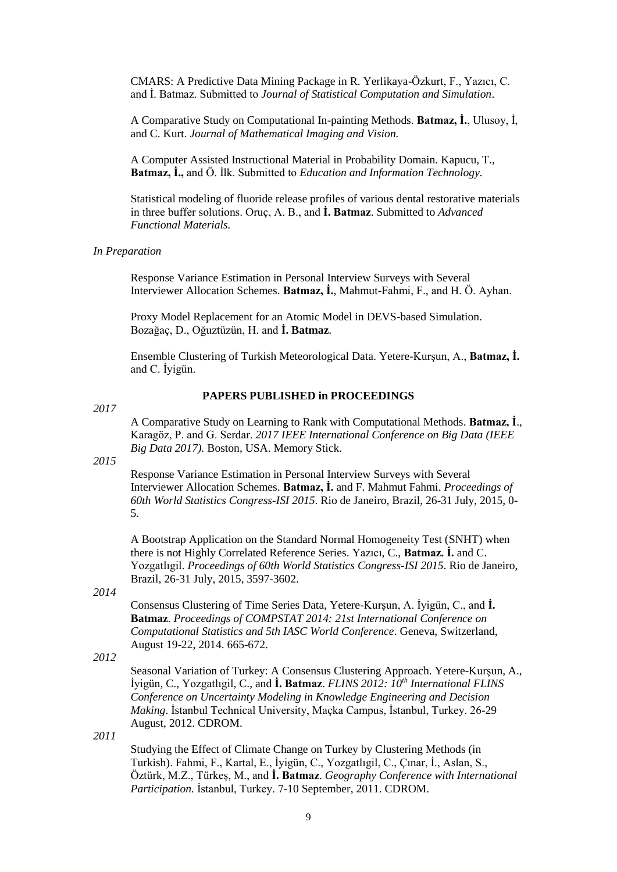CMARS: A Predictive Data Mining Package in R. Yerlikaya-Özkurt, F., Yazıcı, C. and İ. Batmaz. Submitted to *Journal of Statistical Computation and Simulation*.

A Comparative Study on Computational In-painting Methods. **Batmaz, İ.**, Ulusoy, İ, and C. Kurt. *Journal of Mathematical Imaging and Vision.*

A Computer Assisted Instructional Material in Probability Domain. Kapucu, T., **Batmaz, İ.,** and Ö. İlk. Submitted to *Education and Information Technology.*

Statistical modeling of fluoride release profiles of various dental restorative materials in three buffer solutions. Oruç, A. B., and **İ. Batmaz**. Submitted to *Advanced Functional Materials.*

*In Preparation*

Response Variance Estimation in Personal Interview Surveys with Several Interviewer Allocation Schemes. **Batmaz, İ.**, Mahmut-Fahmi, F., and H. Ö. Ayhan.

Proxy Model Replacement for an Atomic Model in DEVS-based Simulation. Bozağaç, D., Oğuztüzün, H. and **İ. Batmaz**.

Ensemble Clustering of Turkish Meteorological Data. Yetere-Kurşun, A., **Batmaz, İ.** and C. İyigün.

*2017*

### **PAPERS PUBLISHED in PROCEEDINGS**

A Comparative Study on Learning to Rank with Computational Methods. **Batmaz, İ**., Karagöz, P. and G. Serdar. *2017 IEEE International Conference on Big Data (IEEE Big Data 2017).* Boston, USA. Memory Stick.

*2015*

Response Variance Estimation in Personal Interview Surveys with Several Interviewer Allocation Schemes. **Batmaz, İ.** and F. Mahmut Fahmi. *Proceedings of 60th World Statistics Congress-ISI 2015*. Rio de Janeiro, Brazil, 26-31 July, 2015, 0- 5.

A Bootstrap Application on the Standard Normal Homogeneity Test (SNHT) when there is not Highly Correlated Reference Series. Yazıcı, C., **Batmaz. İ.** and C. Yozgatlıgil. *Proceedings of 60th World Statistics Congress-ISI 2015*. Rio de Janeiro, Brazil, 26-31 July, 2015, 3597-3602.

*2014*

Consensus Clustering of Time Series Data, Yetere-Kurşun, A. İyigün, C., and **İ. Batmaz**. *Proceedings of COMPSTAT 2014: 21st International Conference on Computational Statistics and 5th IASC World Conference*. Geneva, Switzerland, August 19-22, 2014. 665-672.

*2012*

Seasonal Variation of Turkey: A Consensus Clustering Approach. Yetere-Kurşun, A., İyigün, C., Yozgatlıgil, C., and **İ. Batmaz**. *FLINS 2012: 10th International FLINS Conference on Uncertainty Modeling in Knowledge Engineering and Decision Making*. İstanbul Technical University, Maçka Campus, İstanbul, Turkey. 26-29 August, 2012. CDROM.

*2011*

Studying the Effect of Climate Change on Turkey by Clustering Methods (in Turkish). Fahmi, F., Kartal, E., İyigün, C., Yozgatlıgil, C., Çınar, İ., Aslan, S., Öztürk, M.Z., Türkeş, M., and **İ. Batmaz**. *Geography Conference with International Participation.* İstanbul, Turkey. 7-10 September, 2011. CDROM.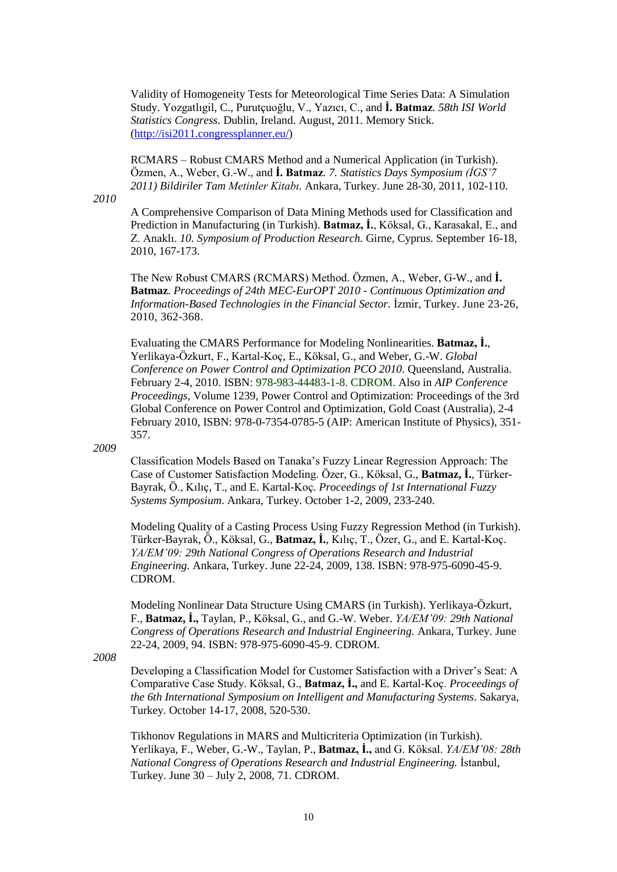Validity of Homogeneity Tests for Meteorological Time Series Data: A Simulation Study. Yozgatlıgil, C., Purutçuoğlu, V., Yazıcı, C., and **İ. Batmaz**. *58th ISI World Statistics Congress.* Dublin, Ireland. August, 2011. Memory Stick. [\(http://isi2011.congressplanner.eu/\)](http://isi2011.congressplanner.eu/)

RCMARS – Robust CMARS Method and a Numerical Application (in Turkish). Özmen, A., Weber, G.-W., and **İ. Batmaz***. 7. Statistics Days Symposium (İGS'7 2011) Bildiriler Tam Metinler Kitabı.* Ankara, Turkey. June 28-30, 2011, 102-110.

*2010*

A Comprehensive Comparison of Data Mining Methods used for Classification and Prediction in Manufacturing (in Turkish). **Batmaz, İ.**, Köksal, G., Karasakal, E., and Z. Anaklı. *10. Symposium of Production Research.* Girne, Cyprus. September 16-18, 2010, 167-173.

The New Robust CMARS (RCMARS) Method. Özmen, A., Weber, G-W., and **İ. Batmaz**. *Proceedings of 24th MEC-EurOPT 2010 - Continuous Optimization and Information-Based Technologies in the Financial Sector.* İzmir, Turkey. June 23-26, 2010, 362-368.

Evaluating the CMARS Performance for Modeling Nonlinearities. **Batmaz, İ.**, Yerlikaya-Özkurt, F., Kartal-Koç, E., Köksal, G., and Weber, G.-W. *Global Conference on Power Control and Optimization PCO 2010*. Queensland, Australia. February 2-4, 2010. ISBN: 978-983-44483-1-8. CDROM. Also in *AIP Conference Proceedings*, Volume 1239, Power Control and Optimization: Proceedings of the 3rd Global Conference on Power Control and Optimization, Gold Coast (Australia), 2-4 February 2010, ISBN: 978-0-7354-0785-5 (AIP: American Institute of Physics), 351- 357.

*2009*

Classification Models Based on Tanaka's Fuzzy Linear Regression Approach: The Case of Customer Satisfaction Modeling. Özer, G., Köksal, G., **Batmaz, İ.**, Türker-Bayrak, Ö., Kılıç, T., and E. Kartal-Koç*. Proceedings of 1st International Fuzzy Systems Symposium*. Ankara, Turkey. October 1-2, 2009, 233-240.

Modeling Quality of a Casting Process Using Fuzzy Regression Method (in Turkish). Türker-Bayrak, Ö., Köksal, G., **Batmaz, İ.**, Kılıç, T., Özer, G., and E. Kartal-Koç. *YA/EM'09: 29th National Congress of Operations Research and Industrial Engineering.* Ankara, Turkey. June 22-24, 2009, 138. ISBN: 978-975-6090-45-9. CDROM.

Modeling Nonlinear Data Structure Using CMARS (in Turkish). Yerlikaya-Özkurt, F., **Batmaz, İ.,** Taylan, P., Köksal, G., and G.-W. Weber. *YA/EM'09: 29th National Congress of Operations Research and Industrial Engineering.* Ankara, Turkey. June 22-24, 2009, 94. ISBN: 978-975-6090-45-9. CDROM.

*2008*

Developing a Classification Model for Customer Satisfaction with a Driver's Seat: A Comparative Case Study. Köksal, G., **Batmaz, İ.,** and E. Kartal-Koç. *Proceedings of the 6th International Symposium on Intelligent and Manufacturing Systems*. Sakarya, Turkey. October 14-17, 2008, 520-530.

Tikhonov Regulations in MARS and Multicriteria Optimization (in Turkish). Yerlikaya, F., Weber, G.-W., Taylan, P., **Batmaz, İ.,** and G. Köksal. *YA/EM'08: 28th National Congress of Operations Research and Industrial Engineering.* İstanbul, Turkey. June 30 – July 2, 2008, 71. CDROM.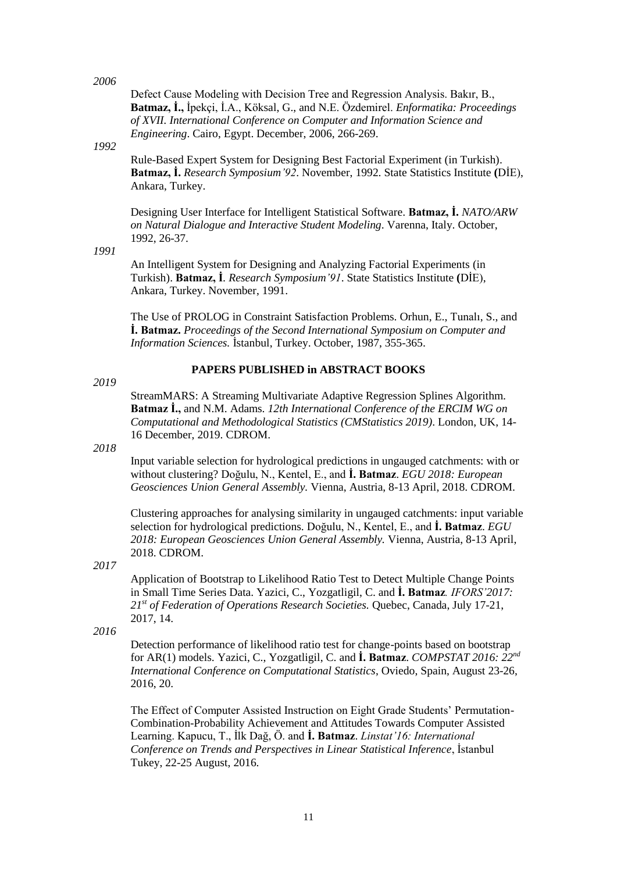#### *2006*

Defect Cause Modeling with Decision Tree and Regression Analysis. Bakır, B., **Batmaz, İ.,** İpekçi, İ.A., Köksal, G., and N.E. Özdemirel. *Enformatika: Proceedings of XVII. International Conference on Computer and Information Science and Engineering*. Cairo, Egypt. December, 2006, 266-269.

## *1992*

Rule-Based Expert System for Designing Best Factorial Experiment (in Turkish). **Batmaz, İ.** *Research Symposium'92*. November, 1992. State Statistics Institute **(**DİE), Ankara, Turkey.

Designing User Interface for Intelligent Statistical Software. **Batmaz, İ.** *NATO/ARW on Natural Dialogue and Interactive Student Modeling*. Varenna, Italy. October, 1992, 26-37.

*1991*

An Intelligent System for Designing and Analyzing Factorial Experiments (in Turkish). **Batmaz, İ***. Research Symposium'91*. State Statistics Institute **(**DİE), Ankara, Turkey. November, 1991.

The Use of PROLOG in Constraint Satisfaction Problems. Orhun, E., Tunalı, S., and **İ. Batmaz.** *Proceedings of the Second International Symposium on Computer and Information Sciences.* İstanbul, Turkey. October, 1987, 355-365.

### *2019*

## **PAPERS PUBLISHED in ABSTRACT BOOKS**

StreamMARS: A Streaming Multivariate Adaptive Regression Splines Algorithm. **Batmaz İ.,** and N.M. Adams. *12th International Conference of the ERCIM WG on Computational and Methodological Statistics (CMStatistics 2019)*. London, UK, 14- 16 December, 2019. CDROM.

#### *2018*

Input variable selection for hydrological predictions in ungauged catchments: with or without clustering? Doğulu, N., Kentel, E., and **İ. Batmaz**. *EGU 2018: European Geosciences Union General Assembly.* Vienna, Austria, 8-13 April, 2018. CDROM.

Clustering approaches for analysing similarity in ungauged catchments: input variable selection for hydrological predictions. Doğulu, N., Kentel, E., and **İ. Batmaz**. *EGU 2018: European Geosciences Union General Assembly.* Vienna, Austria, 8-13 April, 2018. CDROM.

*2017*

Application of Bootstrap to Likelihood Ratio Test to Detect Multiple Change Points in Small Time Series Data. Yazici, C., Yozgatligil, C. and **İ. Batmaz***. IFORS'2017: 21st of Federation of Operations Research Societies.* Quebec, Canada, July 17-21, 2017, 14.

*2016*

Detection performance of likelihood ratio test for change-points based on bootstrap for AR(1) models. Yazici, C., Yozgatligil, C. and **İ. Batmaz**. *COMPSTAT 2016: 22nd International Conference on Computational Statistics*, Oviedo, Spain, August 23-26, 2016, 20.

The Effect of Computer Assisted Instruction on Eight Grade Students' Permutation-Combination-Probability Achievement and Attitudes Towards Computer Assisted Learning. Kapucu, T., İlk Dağ, Ö. and **İ. Batmaz**. *Linstat'16: International Conference on Trends and Perspectives in Linear Statistical Inference*, İstanbul Tukey, 22-25 August, 2016.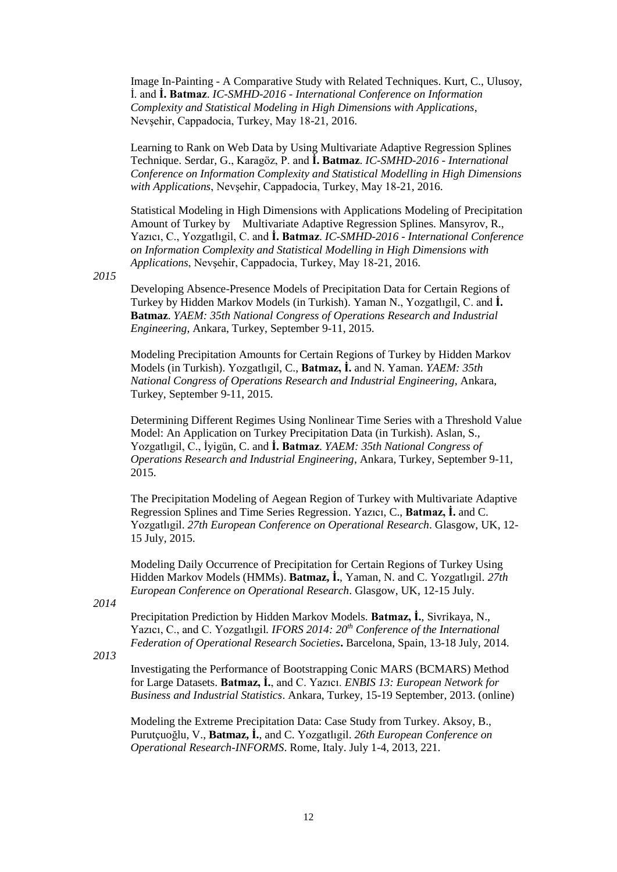Image In-Painting - A Comparative Study with Related Techniques. Kurt, C., Ulusoy, İ. and **İ. Batmaz**. *IC-SMHD-2016 - International Conference on Information Complexity and Statistical Modeling in High Dimensions with Applications*, Nevşehir, Cappadocia, Turkey, May 18-21, 2016. –

Learning to Rank on Web Data by Using Multivariate Adaptive Regression Splines Technique. Serdar, G., Karagöz, P. and **İ. Batmaz**. *IC-SMHD-2016 - International Conference on Information Complexity and Statistical Modelling in High Dimensions with Applications*, Nevşehir, Cappadocia, Turkey, May 18-21, 2016.

Statistical Modeling in High Dimensions with Applications Modeling of Precipitation Amount of Turkey by Multivariate Adaptive Regression Splines. Mansyrov, R., Yazıcı, C., Yozgatlıgil, C. and **İ. Batmaz**. *IC-SMHD-2016 - International Conference on Information Complexity and Statistical Modelling in High Dimensions with Applications*, Nevşehir, Cappadocia, Turkey, May 18-21, 2016.

*2015*

Developing Absence-Presence Models of Precipitation Data for Certain Regions of Turkey by Hidden Markov Models (in Turkish). Yaman N., Yozgatlıgil, C. and **İ. Batmaz**. *YAEM: 35th National Congress of Operations Research and Industrial Engineering*, Ankara, Turkey, September 9-11, 2015.

Modeling Precipitation Amounts for Certain Regions of Turkey by Hidden Markov Models (in Turkish). Yozgatlıgil, C., **Batmaz, İ.** and N. Yaman. *YAEM: 35th National Congress of Operations Research and Industrial Engineering*, Ankara, Turkey, September 9-11, 2015.

Determining Different Regimes Using Nonlinear Time Series with a Threshold Value Model: An Application on Turkey Precipitation Data (in Turkish). Aslan, S., Yozgatlıgil, C., İyigün, C. and **İ. Batmaz**. *YAEM: 35th National Congress of Operations Research and Industrial Engineering*, Ankara, Turkey, September 9-11, 2015.

The Precipitation Modeling of Aegean Region of Turkey with Multivariate Adaptive Regression Splines and Time Series Regression. Yazıcı, C., **Batmaz, İ.** and C. Yozgatlıgil. *27th European Conference on Operational Research*. Glasgow, UK, 12- 15 July, 2015.

Modeling Daily Occurrence of Precipitation for Certain Regions of Turkey Using Hidden Markov Models (HMMs). **Batmaz, İ.**, Yaman, N. and C. Yozgatlıgil. *27th European Conference on Operational Research*. Glasgow, UK, 12-15 July.

*2014*

Precipitation Prediction by Hidden Markov Models. **Batmaz, İ.**, Sivrikaya, N., Yazıcı, C., and C. Yozgatlıgil*. IFORS 2014: 20th Conference of the International Federation of Operational Research Societies***.** Barcelona, Spain, 13-18 July, 2014.

*2013*

Investigating the Performance of Bootstrapping Conic MARS (BCMARS) Method for Large Datasets. **Batmaz, İ.**, and C. Yazıcı. *ENBIS 13: European Network for Business and Industrial Statistics*. Ankara, Turkey, 15-19 September, 2013. (online)

Modeling the Extreme Precipitation Data: Case Study from Turkey. Aksoy, B., Purutçuoğlu, V., **Batmaz, İ.**, and C. Yozgatlıgil. *26th European Conference on Operational Research-INFORMS*. Rome, Italy. July 1-4, 2013, 221.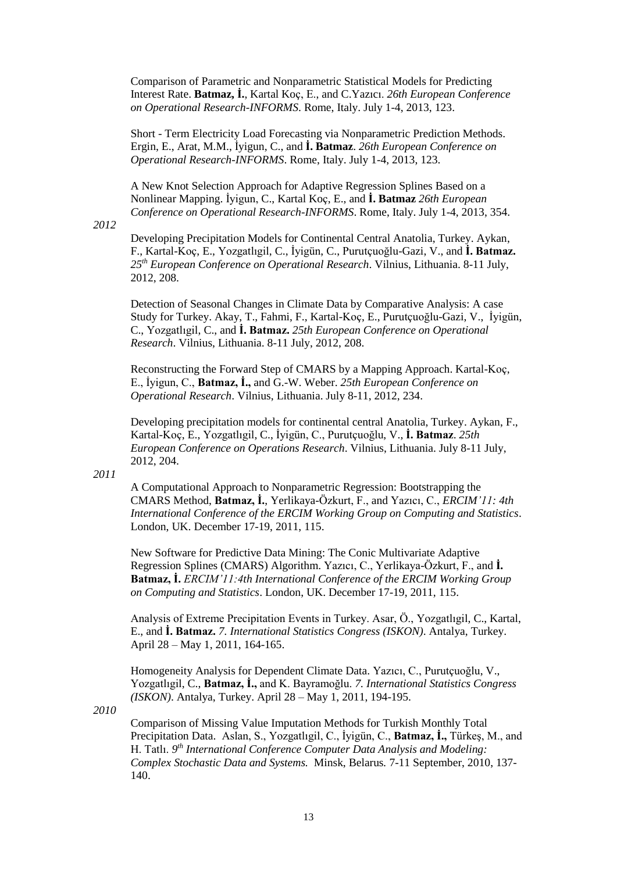Comparison of Parametric and Nonparametric Statistical Models for Predicting Interest Rate. **Batmaz, İ.**, Kartal Koç, E., and C.Yazıcı. *26th European Conference on Operational Research-INFORMS*. Rome, Italy. July 1-4, 2013, 123.

Short - Term Electricity Load Forecasting via Nonparametric Prediction Methods. Ergin, E., Arat, M.M., İyigun, C., and **İ. Batmaz**. *26th European Conference on Operational Research-INFORMS*. Rome, Italy. July 1-4, 2013, 123.

A New Knot Selection Approach for Adaptive Regression Splines Based on a Nonlinear Mapping. İyigun, C., Kartal Koç, E., and **İ. Batmaz** *26th European Conference on Operational Research-INFORMS*. Rome, Italy. July 1-4, 2013, 354.

*2012*

Developing Precipitation Models for Continental Central Anatolia, Turkey. Aykan, F., Kartal-Koç, E., Yozgatlıgil, C., İyigün, C., Purutçuoğlu-Gazi, V., and **İ. Batmaz.**  *25th European Conference on Operational Research*. Vilnius, Lithuania. 8-11 July, 2012, 208.

Detection of Seasonal Changes in Climate Data by Comparative Analysis: A case Study for Turkey. Akay, T., Fahmi, F., Kartal-Koç, E., Purutçuoğlu-Gazi, V., İyigün, C., Yozgatlıgil, C., and **İ. Batmaz.** *25th European Conference on Operational Research*. Vilnius, Lithuania. 8-11 July, 2012, 208.

Reconstructing the Forward Step of CMARS by a Mapping Approach. Kartal-Koç, E., İyigun, C., **Batmaz, İ.,** and G.-W. Weber. *25th European Conference on Operational Research*. Vilnius, Lithuania. July 8-11, 2012, 234.

Developing precipitation models for continental central Anatolia, Turkey. Aykan, F., Kartal-Koç, E., Yozgatlıgil, C., İyigün, C., Purutçuoğlu, V., **İ. Batmaz**. *25th European Conference on Operations Research*. Vilnius, Lithuania. July 8-11 July, 2012, 204.

*2011*

A Computational Approach to Nonparametric Regression: Bootstrapping the CMARS Method, **Batmaz, İ.**, Yerlikaya-Özkurt, F., and Yazıcı, C., *ERCIM'11: 4th International Conference of the ERCIM Working Group on Computing and Statistics*. London, UK. December 17-19, 2011, 115.

New Software for Predictive Data Mining: The Conic Multivariate Adaptive Regression Splines (CMARS) Algorithm. Yazıcı, C., Yerlikaya-Özkurt, F., and **İ. Batmaz, İ.** *ERCIM'11:4th International Conference of the ERCIM Working Group on Computing and Statistics*. London, UK. December 17-19, 2011, 115.

Analysis of Extreme Precipitation Events in Turkey. Asar, Ö., Yozgatlıgil, C., Kartal, E., and **İ. Batmaz.** *7. International Statistics Congress (ISKON)*. Antalya, Turkey. April 28 – May 1, 2011, 164-165.

Homogeneity Analysis for Dependent Climate Data. Yazıcı, C., Purutçuoğlu, V., Yozgatlıgil, C., **Batmaz, İ.,** and K. Bayramoğlu. *7. International Statistics Congress (ISKON)*. Antalya, Turkey. April 28 – May 1, 2011, 194-195.

*2010*

Comparison of Missing Value Imputation Methods for Turkish Monthly Total Precipitation Data. Aslan, S., Yozgatlıgil, C., İyigün, C., **Batmaz, İ.,** Türkeş, M., and H. Tatlı. *9 th International Conference Computer Data Analysis and Modeling: Complex Stochastic Data and Systems.* Minsk, Belarus*.* 7-11 September, 2010, 137- 140.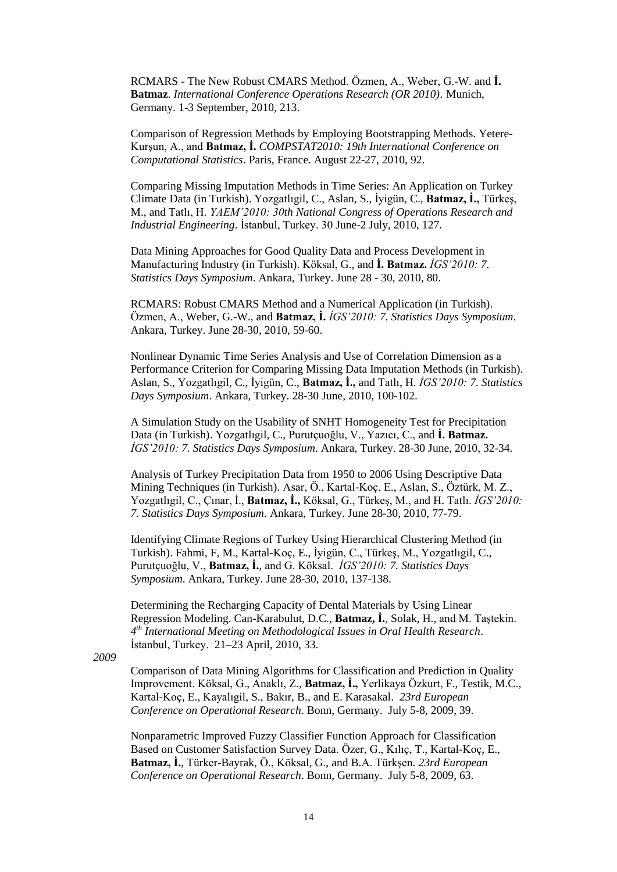RCMARS - The New Robust CMARS Method. Özmen, A., Weber, G.-W. and **İ. Batmaz**. *International Conference Operations Research (OR 2010)*. Munich, Germany. 1-3 September, 2010, 213.

Comparison of Regression Methods by Employing Bootstrapping Methods. Yetere-Kurşun, A., and **Batmaz, İ.** *COMPSTAT2010: 19th International Conference on Computational Statistics*. Paris, France. August 22-27, 2010, 92.

Comparing Missing Imputation Methods in Time Series: An Application on Turkey Climate Data (in Turkish). Yozgatlıgil, C., Aslan, S., İyigün, C., **Batmaz, İ.,** Türkeş, M., and Tatlı, H. *YAEM'2010: 30th National Congress of Operations Research and Industrial Engineering*. İstanbul, Turkey. 30 June-2 July, 2010, 127.

Data Mining Approaches for Good Quality Data and Process Development in Manufacturing Industry (in Turkish). Köksal, G., and **İ. Batmaz.** *İGS'2010: 7. Statistics Days Symposium*. Ankara, Turkey. June 28 - 30, 2010, 80.

RCMARS: Robust CMARS Method and a Numerical Application (in Turkish). Özmen, A., Weber, G.-W., and **Batmaz, İ.** *İGS'2010: 7. Statistics Days Symposium*. Ankara, Turkey. June 28-30, 2010, 59-60.

Nonlinear Dynamic Time Series Analysis and Use of Correlation Dimension as a Performance Criterion for Comparing Missing Data Imputation Methods (in Turkish). Aslan, S., Yozgatlıgil, C., İyigün, C., **Batmaz, İ.,** and Tatlı, H. *İGS'2010: 7. Statistics Days Symposium*. Ankara, Turkey. 28-30 June, 2010, 100-102.

A Simulation Study on the Usability of SNHT Homogeneity Test for Precipitation Data (in Turkish). Yozgatlıgil, C., Purutçuoğlu, V., Yazıcı, C., and **İ. Batmaz.**  *İGS'2010: 7. Statistics Days Symposium*. Ankara, Turkey. 28-30 June, 2010, 32-34.

Analysis of Turkey Precipitation Data from 1950 to 2006 Using Descriptive Data Mining Techniques (in Turkish). Asar, Ö., Kartal-Koç, E., Aslan, S., Öztürk, M. Z., Yozgatlıgil, C., Çınar, İ., **Batmaz, İ.,** Köksal, G., Türkeş, M., and H. Tatlı. *İGS'2010: 7. Statistics Days Symposium*. Ankara, Turkey. June 28-30, 2010, 77-79.

Identifying Climate Regions of Turkey Using Hierarchical Clustering Method (in Turkish). Fahmi, F, M., Kartal-Koç, E., İyigün, C., Türkeş, M., Yozgatlıgil, C., Purutçuoğlu, V., **Batmaz, İ.**, and G. Köksal. *İGS'2010: 7. Statistics Days Symposium*. Ankara, Turkey. June 28-30, 2010, 137-138.

Determining the Recharging Capacity of Dental Materials by Using Linear Regression Modeling. Can-Karabulut, D.C., **Batmaz, İ.**, Solak, H., and M. Taştekin. *4 th International Meeting on Methodological Issues in Oral Health Research*. İstanbul, Turkey. 21–23 April, 2010, 33.

*2009*

Comparison of Data Mining Algorithms for Classification and Prediction in Quality Improvement. Köksal, G., Anaklı, Z., **Batmaz, İ.,** Yerlikaya Özkurt, F., Testik, M.C., Kartal-Koç, E., Kayalıgil, S., Bakır, B., and E. Karasakal. *23rd European Conference on Operational Research*. Bonn, Germany. July 5-8, 2009, 39.

Nonparametric Improved Fuzzy Classifier Function Approach for Classification Based on Customer Satisfaction Survey Data. Özer, G., Kılıç, T., Kartal-Koç, E., **Batmaz, İ.**, Türker-Bayrak, Ö., Köksal, G., and B.A. Türkşen. *23rd European Conference on Operational Research*. Bonn, Germany. July 5-8, 2009, 63.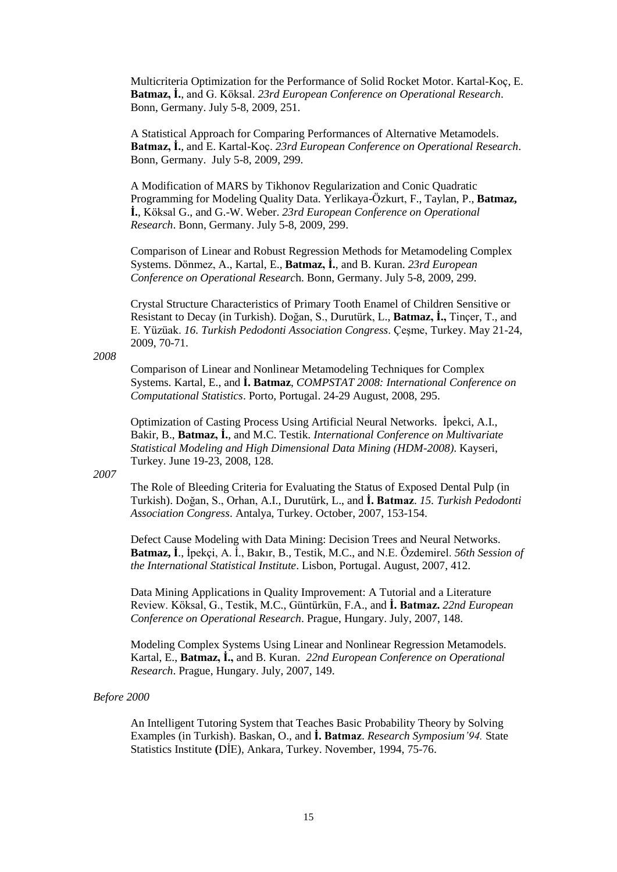Multicriteria Optimization for the Performance of Solid Rocket Motor. Kartal-Koç, E. **Batmaz, İ.**, and G. Köksal. *23rd European Conference on Operational Research*. Bonn, Germany. July 5-8, 2009, 251.

A Statistical Approach for Comparing Performances of Alternative Metamodels. **Batmaz, İ.**, and E. Kartal-Koç. *23rd European Conference on Operational Research*. Bonn, Germany. July 5-8, 2009, 299.

A Modification of MARS by Tikhonov Regularization and Conic Quadratic Programming for Modeling Quality Data. Yerlikaya-Özkurt, F., Taylan, P., **Batmaz, İ.**, Köksal G., and G.-W. Weber. *23rd European Conference on Operational Research*. Bonn, Germany. July 5-8, 2009, 299.

Comparison of Linear and Robust Regression Methods for Metamodeling Complex Systems. Dönmez, A., Kartal, E., **Batmaz, İ.**, and B. Kuran. *23rd European Conference on Operational Researc*h. Bonn, Germany. July 5-8, 2009, 299.

Crystal Structure Characteristics of Primary Tooth Enamel of Children Sensitive or Resistant to Decay (in Turkish). Doğan, S., Durutürk, L., **Batmaz, İ.,** Tinçer, T., and E. Yüzüak. *16. Turkish Pedodonti Association Congress*. Çeşme, Turkey. May 21-24, 2009, 70-71.

*2008*

Comparison of Linear and Nonlinear Metamodeling Techniques for Complex Systems. Kartal, E., and **İ. Batmaz**, *COMPSTAT 2008: International Conference on Computational Statistics*. Porto, Portugal. 24-29 August, 2008, 295.

Optimization of Casting Process Using Artificial Neural Networks. İpekci, A.I., Bakir, B., **Batmaz, İ.**, and M.C. Testik. *International Conference on Multivariate Statistical Modeling and High Dimensional Data Mining (HDM-2008)*. Kayseri, Turkey. June 19-23, 2008, 128.

*2007*

The Role of Bleeding Criteria for Evaluating the Status of Exposed Dental Pulp (in Turkish). Doğan, S., Orhan, A.I., Durutürk, L., and **İ. Batmaz**. *15. Turkish Pedodonti Association Congress*. Antalya, Turkey. October, 2007, 153-154.

Defect Cause Modeling with Data Mining: Decision Trees and Neural Networks. **Batmaz, İ**., İpekçi, A. İ., Bakır, B., Testik, M.C., and N.E. Özdemirel. *56th Session of the International Statistical Institute*. Lisbon, Portugal. August, 2007, 412.

Data Mining Applications in Quality Improvement: A Tutorial and a Literature Review. Köksal, G., Testik, M.C., Güntürkün, F.A., and **İ. Batmaz.** *22nd European Conference on Operational Research*. Prague, Hungary. July, 2007, 148.

Modeling Complex Systems Using Linear and Nonlinear Regression Metamodels. Kartal, E., **Batmaz, İ.,** and B. Kuran. *22nd European Conference on Operational Research*. Prague, Hungary. July, 2007, 149.

*Before 2000*

An Intelligent Tutoring System that Teaches Basic Probability Theory by Solving Examples (in Turkish). Baskan, O., and **İ. Batmaz**. *Research Symposium'94.* State Statistics Institute **(**DİE), Ankara, Turkey. November, 1994, 75-76.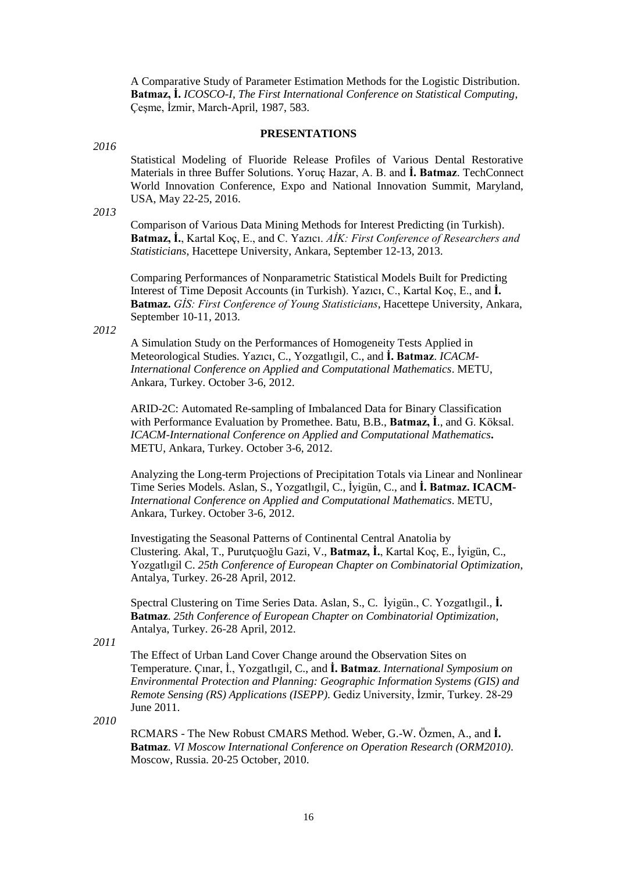A Comparative Study of Parameter Estimation Methods for the Logistic Distribution. **Batmaz, İ.** *ICOSCO-I, The First International Conference on Statistical Computing*, Çeşme, İzmir, March-April, 1987, 583.

### **PRESENTATIONS**

#### *2016*

Statistical Modeling of Fluoride Release Profiles of Various Dental Restorative Materials in three Buffer Solutions. Yoruç Hazar, A. B. and **İ. Batmaz**. TechConnect World Innovation Conference, Expo and National Innovation Summit, Maryland, USA, May 22-25, 2016.

#### *2013*

Comparison of Various Data Mining Methods for Interest Predicting (in Turkish). **Batmaz, İ.**, Kartal Koç, E., and C. Yazıcı. *AİK: First Conference of Researchers and Statisticians*, Hacettepe University, Ankara, September 12-13, 2013.

Comparing Performances of Nonparametric Statistical Models Built for Predicting Interest of Time Deposit Accounts (in Turkish). Yazıcı, C., Kartal Koç, E., and **İ. Batmaz.** *GİS: First Conference of Young Statisticians*, Hacettepe University, Ankara, September 10-11, 2013.

#### *2012*

A Simulation Study on the Performances of Homogeneity Tests Applied in Meteorological Studies. Yazıcı, C., Yozgatlıgil, C., and **İ. Batmaz**. *ICACM-International Conference on Applied and Computational Mathematics*. METU, Ankara, Turkey. October 3-6, 2012.

ARID-2C: Automated Re-sampling of Imbalanced Data for Binary Classification with Performance Evaluation by Promethee. Batu, B.B., **Batmaz, İ**., and G. Köksal. *ICACM-International Conference on Applied and Computational Mathematics***.** METU, Ankara, Turkey. October 3-6, 2012.

Analyzing the Long-term Projections of Precipitation Totals via Linear and Nonlinear Time Series Models. Aslan, S., Yozgatlıgil, C., İyigün, C., and **İ. Batmaz. ICACM-***International Conference on Applied and Computational Mathematics*. METU, Ankara, Turkey. October 3-6, 2012.

[Investigating the Seasonal Patterns of Continental Central Anatolia by](http://www.stat.metu.edu.tr/research-projects/ninlil/sunumlar/SeasonalPatterns.pdf)  Clustering. [Akal, T., Purutçuoğlu Gazi, V.,](http://www.stat.metu.edu.tr/research-projects/ninlil/sunumlar/SeasonalPatterns.pdf) **Batmaz, İ.**, Kartal Koç, E., İyigün, C., Yozgatlıgil C. *[25th Conference of European Chapter on Combinatorial Optimization](http://www.stat.metu.edu.tr/research-projects/ninlil/sunumlar/SeasonalPatterns.pdf)*, [Antalya, Turkey. 26-28 April, 2012.](http://www.stat.metu.edu.tr/research-projects/ninlil/sunumlar/SeasonalPatterns.pdf)

[Spectral Clustering on Time Series Data.](http://www.stat.metu.edu.tr/research-projects/ninlil/sunumlar/SpectralCTS.pdf) Aslan, S., C. İyigün., C. Yozgatlıgil., **İ. Batmaz**. *[25th Conference of European Chapter on Combinatorial Optimization](http://www.stat.metu.edu.tr/research-projects/ninlil/sunumlar/SpectralCTS.pdf)*, [Antalya, Turkey. 26-28 April, 2012.](http://www.stat.metu.edu.tr/research-projects/ninlil/sunumlar/SpectralCTS.pdf)

### *2011*

The Effect of Urban Land Cover Change around the Observation Sites on Temperature. Çınar, İ., Yozgatlıgil, C., and **İ. Batmaz**. *International Symposium on Environmental Protection and Planning: Geographic Information Systems (GIS) and Remote Sensing (RS) Applications (ISEPP)*. Gediz University, İzmir, Turkey. 28-29 June 2011.

*2010*

RCMARS - The New Robust CMARS Method. Weber, G.-W. Özmen, A., and **İ. Batmaz**. *VI Moscow International Conference on Operation Research (ORM2010)*. Moscow, Russia. 20-25 October, 2010.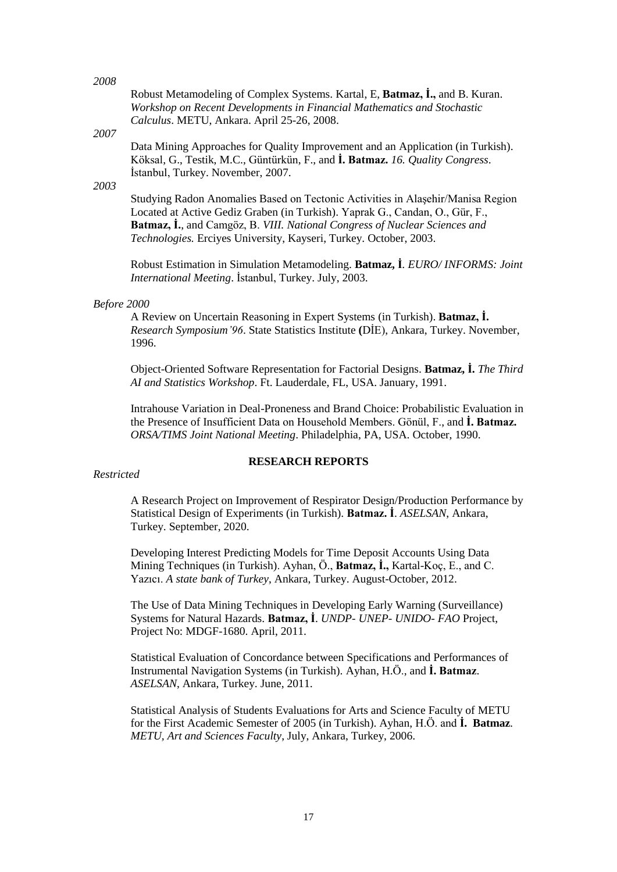#### *2008*

Robust Metamodeling of Complex Systems. Kartal, E, **Batmaz, İ.,** and B. Kuran. *Workshop on Recent Developments in Financial Mathematics and Stochastic Calculus*. METU, Ankara. April 25-26, 2008.

## *2007*

Data Mining Approaches for Quality Improvement and an Application (in Turkish). Köksal, G., Testik, M.C., Güntürkün, F., and **İ. Batmaz.** *16. Quality Congress*. İstanbul, Turkey. November, 2007.

### *2003*

Studying Radon Anomalies Based on Tectonic Activities in Alaşehir/Manisa Region Located at Active Gediz Graben (in Turkish). Yaprak G., Candan, O., Gür, F., **Batmaz, İ.**, and Camgöz, B. *VIII. National Congress of Nuclear Sciences and Technologies.* Erciyes University, Kayseri, Turkey. October, 2003.

Robust Estimation in Simulation Metamodeling. **Batmaz, İ***. EURO/ INFORMS: Joint International Meeting*. İstanbul, Turkey. July, 2003.

#### *Before 2000*

A Review on Uncertain Reasoning in Expert Systems (in Turkish). **Batmaz, İ.** *Research Symposium'96*. State Statistics Institute **(**DİE), Ankara, Turkey. November, 1996.

Object-Oriented Software Representation for Factorial Designs. **Batmaz, İ.** *The Third AI and Statistics Workshop*. Ft. Lauderdale, FL, USA. January, 1991.

Intrahouse Variation in Deal-Proneness and Brand Choice: Probabilistic Evaluation in the Presence of Insufficient Data on Household Members. Gönül, F., and **İ. Batmaz.** *ORSA/TIMS Joint National Meeting*. Philadelphia, PA, USA. October, 1990.

## **RESEARCH REPORTS**

## *Restricted*

A Research Project on Improvement of Respirator Design/Production Performance by Statistical Design of Experiments (in Turkish). **Batmaz. İ**. *ASELSAN*, Ankara, Turkey. September, 2020.

Developing Interest Predicting Models for Time Deposit Accounts Using Data Mining Techniques (in Turkish). Ayhan, Ö., **Batmaz, İ.,** Kartal-Koç, E., and C. Yazıcı. *A state bank of Turkey*, Ankara, Turkey. August-October, 2012.

The Use of Data Mining Techniques in Developing Early Warning (Surveillance) Systems for Natural Hazards. **Batmaz, İ**. *UNDP- UNEP- UNIDO- FAO* Project, Project No: MDGF-1680. April, 2011.

Statistical Evaluation of Concordance between Specifications and Performances of Instrumental Navigation Systems (in Turkish). Ayhan, H.Ö., and **İ. Batmaz**. *ASELSAN*, Ankara, Turkey. June, 2011.

Statistical Analysis of Students Evaluations for Arts and Science Faculty of METU for the First Academic Semester of 2005 (in Turkish). Ayhan, H.Ö. and **İ. Batmaz**. *METU, Art and Sciences Faculty*, July, Ankara, Turkey, 2006.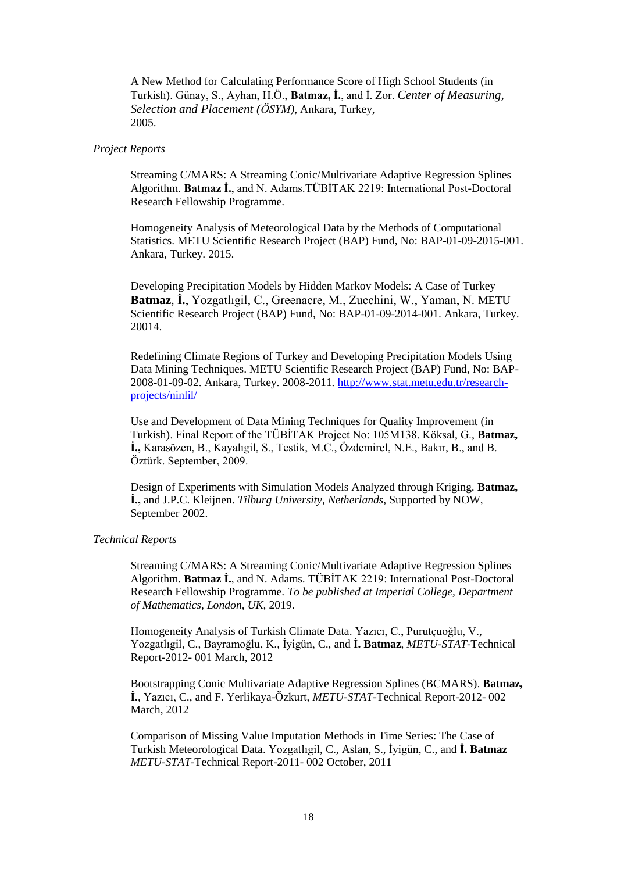A New Method for Calculating Performance Score of High School Students (in Turkish). Günay, S., Ayhan, H.Ö., **Batmaz, İ.**, and İ. Zor. *Center of Measuring, Selection and Placement (ÖSYM)*, Ankara, Turkey, 2005.

### *Project Reports*

Streaming C/MARS: A Streaming Conic/Multivariate Adaptive Regression Splines Algorithm. **Batmaz İ.**, and N. Adams.TÜBİTAK 2219: International Post-Doctoral Research Fellowship Programme.

Homogeneity Analysis of Meteorological Data by the Methods of Computational Statistics. METU Scientific Research Project (BAP) Fund, No: BAP-01-09-2015-001. Ankara, Turkey. 2015.

Developing Precipitation Models by Hidden Markov Models: A Case of Turkey **Batmaz**, **İ.**, Yozgatlıgil, C., Greenacre, M., Zucchini, W., Yaman, N. METU Scientific Research Project (BAP) Fund, No: BAP-01-09-2014-001. Ankara, Turkey. 20014.

Redefining Climate Regions of Turkey and Developing Precipitation Models Using Data Mining Techniques. METU Scientific Research Project (BAP) Fund, No: BAP-2008-01-09-02. Ankara, Turkey. 2008-2011. [http://www.stat.metu.edu.tr/research](http://www.stat.metu.edu.tr/research-projects/ninlil/)[projects/ninlil/](http://www.stat.metu.edu.tr/research-projects/ninlil/)

Use and Development of Data Mining Techniques for Quality Improvement (in Turkish). Final Report of the TÜBİTAK Project No: 105M138. Köksal, G., **Batmaz, İ.,** Karasözen, B., Kayalıgil, S., Testik, M.C., Özdemirel, N.E., Bakır, B., and B. Öztürk. September, 2009.

Design of Experiments with Simulation Models Analyzed through Kriging. **Batmaz, İ.,** and J.P.C. Kleijnen. *Tilburg University, Netherlands*, Supported by NOW, September 2002.

### *Technical Reports*

Streaming C/MARS: A Streaming Conic/Multivariate Adaptive Regression Splines Algorithm. **Batmaz İ.**, and N. Adams. TÜBİTAK 2219: International Post-Doctoral Research Fellowship Programme. *To be published at Imperial College, Department of Mathematics, London, UK,* 2019.

Homogeneity Analysis of Turkish Climate Data. Yazıcı, C., Purutçuoğlu, V., Yozgatlıgil, C., Bayramoğlu, K., İyigün, C., and **İ. Batmaz**, *METU-STAT*-Technical Report-2012- 001 March, 2012

Bootstrapping Conic Multivariate Adaptive Regression Splines (BCMARS). **Batmaz, İ.**, Yazıcı, C., and F. Yerlikaya-Özkurt, *METU-STAT*-Technical Report-2012- 002 March, 2012

Comparison of Missing Value Imputation Methods in Time Series: The Case of Turkish Meteorological Data. Yozgatlıgil, C., Aslan, S., İyigün, C., and **İ. Batmaz** *METU-STAT*-Technical Report-2011- 002 October, 2011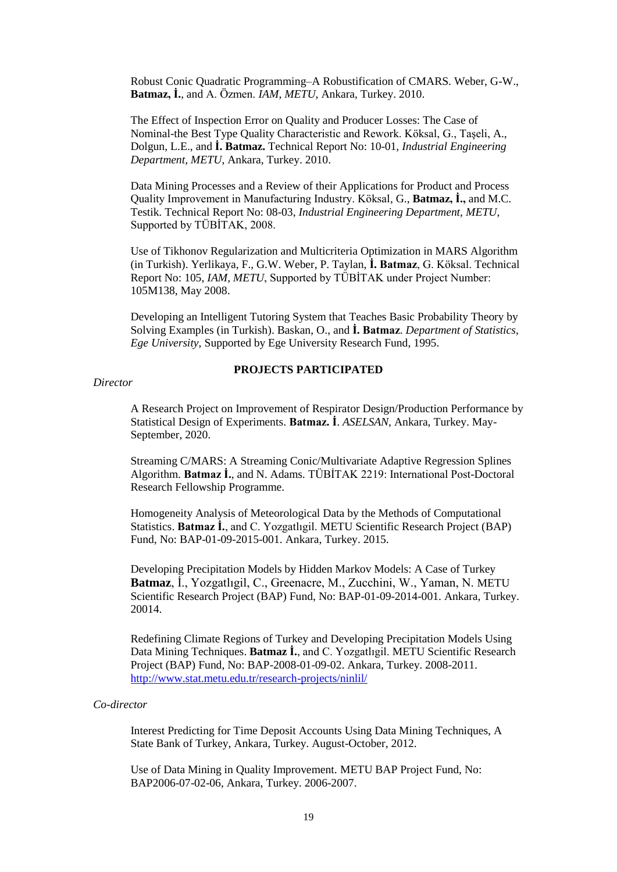Robust Conic Quadratic Programming–A Robustification of CMARS. Weber, G-W., **Batmaz, İ.**, and A. Özmen. *IAM, METU*, Ankara, Turkey. 2010.

The Effect of Inspection Error on Quality and Producer Losses: The Case of Nominal-the Best Type Quality Characteristic and Rework. Köksal, G., Taşeli, A., Dolgun, L.E., and **İ. Batmaz.** Technical Report No: 10-01, *Industrial Engineering Department, METU*, Ankara, Turkey. 2010.

Data Mining Processes and a Review of their Applications for Product and Process Quality Improvement in Manufacturing Industry. Köksal, G., **Batmaz, İ.,** and M.C. Testik. Technical Report No: 08-03, *Industrial Engineering Department, METU*, Supported by TÜBİTAK, 2008.

Use of Tikhonov Regularization and Multicriteria Optimization in MARS Algorithm (in Turkish). Yerlikaya, F., G.W. Weber, P. Taylan, **İ. Batmaz**, G. Köksal. Technical Report No: 105, *IAM, METU*, Supported by TÜBİTAK under Project Number: 105M138, May 2008.

Developing an Intelligent Tutoring System that Teaches Basic Probability Theory by Solving Examples (in Turkish). Baskan, O., and **İ. Batmaz**. *Department of Statistics, Ege University*, Supported by Ege University Research Fund, 1995.

#### *Director*

# **PROJECTS PARTICIPATED**

A Research Project on Improvement of Respirator Design/Production Performance by Statistical Design of Experiments. **Batmaz. İ**. *ASELSAN*, Ankara, Turkey. May-September, 2020.

Streaming C/MARS: A Streaming Conic/Multivariate Adaptive Regression Splines Algorithm. **Batmaz İ.**, and N. Adams. TÜBİTAK 2219: International Post-Doctoral Research Fellowship Programme.

Homogeneity Analysis of Meteorological Data by the Methods of Computational Statistics. **Batmaz İ.**, and C. Yozgatlıgil. METU Scientific Research Project (BAP) Fund, No: BAP-01-09-2015-001. Ankara, Turkey. 2015.

Developing Precipitation Models by Hidden Markov Models: A Case of Turkey **Batmaz**, İ., Yozgatlıgil, C., Greenacre, M., Zucchini, W., Yaman, N. METU Scientific Research Project (BAP) Fund, No: BAP-01-09-2014-001. Ankara, Turkey. 20014.

Redefining Climate Regions of Turkey and Developing Precipitation Models Using Data Mining Techniques. **Batmaz İ.**, and C. Yozgatlıgil. METU Scientific Research Project (BAP) Fund, No: BAP-2008-01-09-02. Ankara, Turkey. 2008-2011. <http://www.stat.metu.edu.tr/research-projects/ninlil/>

### *Co-director*

Interest Predicting for Time Deposit Accounts Using Data Mining Techniques, A State Bank of Turkey, Ankara, Turkey. August-October, 2012.

Use of Data Mining in Quality Improvement. METU BAP Project Fund, No: BAP2006-07-02-06, Ankara, Turkey. 2006-2007.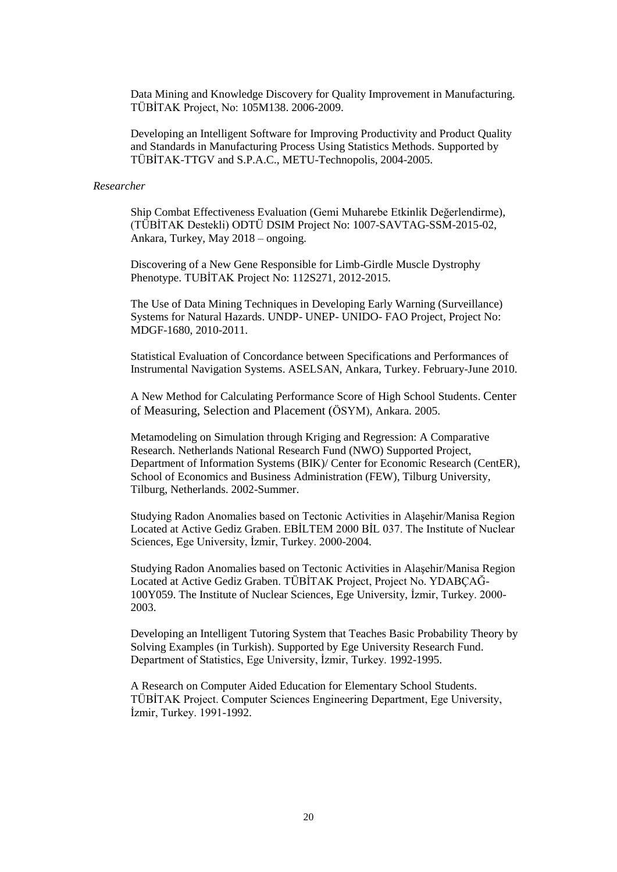Data Mining and Knowledge Discovery for Quality Improvement in Manufacturing. TÜBİTAK Project, No: 105M138. 2006-2009.

Developing an Intelligent Software for Improving Productivity and Product Quality and Standards in Manufacturing Process Using Statistics Methods. Supported by TÜBİTAK-TTGV and S.P.A.C., METU-Technopolis, 2004-2005.

### *Researcher*

Ship Combat Effectiveness Evaluation (Gemi Muharebe Etkinlik Değerlendirme), (TÜBİTAK Destekli) ODTÜ DSIM Project No: 1007-SAVTAG-SSM-2015-02, Ankara, Turkey, May 2018 – ongoing.

Discovering of a New Gene Responsible for Limb-Girdle Muscle Dystrophy Phenotype. TUBİTAK Project No: 112S271, 2012-2015.

The Use of Data Mining Techniques in Developing Early Warning (Surveillance) Systems for Natural Hazards. UNDP- UNEP- UNIDO- FAO Project, Project No: MDGF-1680, 2010-2011.

Statistical Evaluation of Concordance between Specifications and Performances of Instrumental Navigation Systems. ASELSAN, Ankara, Turkey. February-June 2010.

A New Method for Calculating Performance Score of High School Students. Center of Measuring, Selection and Placement (ÖSYM), Ankara. 2005.

Metamodeling on Simulation through Kriging and Regression: A Comparative Research. Netherlands National Research Fund (NWO) Supported Project, Department of Information Systems (BIK)/ Center for Economic Research (CentER), School of Economics and Business Administration (FEW), Tilburg University, Tilburg, Netherlands. 2002-Summer.

Studying Radon Anomalies based on Tectonic Activities in Alaşehir/Manisa Region Located at Active Gediz Graben. EBİLTEM 2000 BİL 037. The Institute of Nuclear Sciences, Ege University, İzmir, Turkey. 2000-2004.

Studying Radon Anomalies based on Tectonic Activities in Alaşehir/Manisa Region Located at Active Gediz Graben. TÜBİTAK Project, Project No. YDABÇAĞ-100Y059. The Institute of Nuclear Sciences, Ege University, İzmir, Turkey. 2000- 2003.

Developing an Intelligent Tutoring System that Teaches Basic Probability Theory by Solving Examples (in Turkish). Supported by Ege University Research Fund. Department of Statistics, Ege University, İzmir, Turkey. 1992-1995.

A Research on Computer Aided Education for Elementary School Students. TÜBİTAK Project. Computer Sciences Engineering Department, Ege University, İzmir, Turkey. 1991-1992.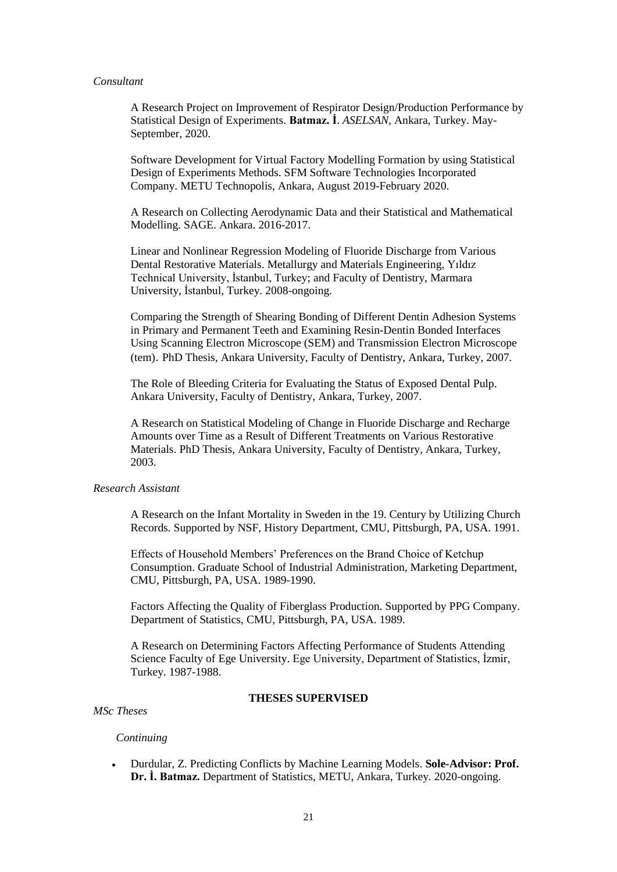### *Consultant*

A Research Project on Improvement of Respirator Design/Production Performance by Statistical Design of Experiments. **Batmaz. İ**. *ASELSAN*, Ankara, Turkey. May-September, 2020.

Software Development for Virtual Factory Modelling Formation by using Statistical Design of Experiments Methods. SFM Software Technologies Incorporated Company. METU Technopolis, Ankara, August 2019-February 2020.

A Research on Collecting Aerodynamic Data and their Statistical and Mathematical Modelling. SAGE. Ankara. 2016-2017.

Linear and Nonlinear Regression Modeling of Fluoride Discharge from Various Dental Restorative Materials. Metallurgy and Materials Engineering, Yıldız Technical University, İstanbul, Turkey; and Faculty of Dentistry, Marmara University, İstanbul, Turkey. 2008-ongoing.

Comparing the Strength of Shearing Bonding of Different Dentin Adhesion Systems in Primary and Permanent Teeth and Examining Resin-Dentin Bonded Interfaces Using Scanning Electron Microscope (SEM) and Transmission Electron Microscope (tem). PhD Thesis, Ankara University, Faculty of Dentistry, Ankara, Turkey, 2007.

The Role of Bleeding Criteria for Evaluating the Status of Exposed Dental Pulp. Ankara University, Faculty of Dentistry, Ankara, Turkey, 2007.

A Research on Statistical Modeling of Change in Fluoride Discharge and Recharge Amounts over Time as a Result of Different Treatments on Various Restorative Materials. PhD Thesis, Ankara University, Faculty of Dentistry, Ankara, Turkey, 2003.

### *Research Assistant*

A Research on the Infant Mortality in Sweden in the 19. Century by Utilizing Church Records. Supported by NSF, History Department, CMU, Pittsburgh, PA, USA. 1991.

Effects of Household Members' Preferences on the Brand Choice of Ketchup Consumption. Graduate School of Industrial Administration, Marketing Department, CMU, Pittsburgh, PA, USA. 1989-1990.

Factors Affecting the Quality of Fiberglass Production. Supported by PPG Company. Department of Statistics, CMU, Pittsburgh, PA, USA. 1989.

A Research on Determining Factors Affecting Performance of Students Attending Science Faculty of Ege University. Ege University, Department of Statistics, İzmir, Turkey. 1987-1988.

### **THESES SUPERVISED**

*MSc Theses* 

#### *Continuing*

 Durdular, Z. Predicting Conflicts by Machine Learning Models. **Sole-Advisor: Prof. Dr. İ. Batmaz.** Department of Statistics, METU, Ankara, Turkey. 2020-ongoing.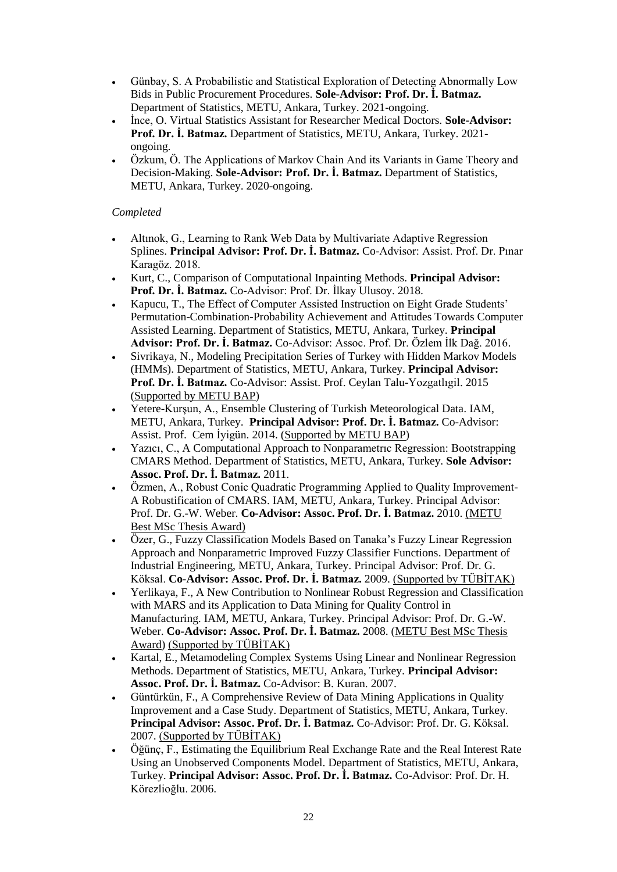- Günbay, S. A Probabilistic and Statistical Exploration of Detecting Abnormally Low Bids in Public Procurement Procedures. **Sole-Advisor: Prof. Dr. İ. Batmaz.**  Department of Statistics, METU, Ankara, Turkey. 2021-ongoing.
- İnce, O. Virtual Statistics Assistant for Researcher Medical Doctors. **Sole-Advisor: Prof. Dr. İ. Batmaz.** Department of Statistics, METU, Ankara, Turkey. 2021 ongoing.
- Özkum, Ö. The Applications of Markov Chain And its Variants in Game Theory and Decision-Making. **Sole-Advisor: Prof. Dr. İ. Batmaz.** Department of Statistics, METU, Ankara, Turkey. 2020-ongoing.

# *Completed*

- Altınok, G., Learning to Rank Web Data by Multivariate Adaptive Regression Splines. **Principal Advisor: Prof. Dr. İ. Batmaz.** Co-Advisor: Assist. Prof. Dr. Pınar Karagöz. 2018.
- Kurt, C., Comparison of Computational Inpainting Methods. **Principal Advisor: Prof. Dr. İ. Batmaz.** Co-Advisor: Prof. Dr. İlkay Ulusoy. 2018.
- Kapucu, T., The Effect of Computer Assisted Instruction on Eight Grade Students' Permutation-Combination-Probability Achievement and Attitudes Towards Computer Assisted Learning. Department of Statistics, METU, Ankara, Turkey. **Principal Advisor: Prof. Dr. İ. Batmaz.** Co-Advisor: Assoc. Prof. Dr. Özlem İlk Dağ. 2016.
- Sivrikaya, N., Modeling Precipitation Series of Turkey with Hidden Markov Models (HMMs). Department of Statistics, METU, Ankara, Turkey. **Principal Advisor: Prof. Dr. İ. Batmaz.** Co-Advisor: Assist. Prof. Ceylan Talu-Yozgatlıgil. 2015 (Supported by METU BAP)
- Yetere-Kurşun, A., Ensemble Clustering of Turkish Meteorological Data. IAM, METU, Ankara, Turkey. **Principal Advisor: Prof. Dr. İ. Batmaz.** Co-Advisor: Assist. Prof. Cem İyigün. 2014. (Supported by METU BAP)
- Yazıcı, C., A Computational Approach to Nonparametrıc Regression: Bootstrapping CMARS Method. Department of Statistics, METU, Ankara, Turkey. **Sole Advisor: Assoc. Prof. Dr. İ. Batmaz.** 2011.
- Özmen, A., Robust Conic Quadratic Programming Applied to Quality Improvement-A Robustification of CMARS. IAM, METU, Ankara, Turkey. Principal Advisor: Prof. Dr. G.-W. Weber. **Co-Advisor: Assoc. Prof. Dr. İ. Batmaz.** 2010. (METU Best MSc Thesis Award)
- Özer, G., Fuzzy Classification Models Based on Tanaka's Fuzzy Linear Regression Approach and Nonparametric Improved Fuzzy Classifier Functions. Department of Industrial Engineering, METU, Ankara, Turkey. Principal Advisor: Prof. Dr. G. Köksal. **Co-Advisor: Assoc. Prof. Dr. İ. Batmaz.** 2009. (Supported by TÜBİTAK)
- Yerlikaya, F., A New Contribution to Nonlinear Robust Regression and Classification with MARS and its Application to Data Mining for Quality Control in Manufacturing. IAM, METU, Ankara, Turkey. Principal Advisor: Prof. Dr. G.-W. Weber. **Co-Advisor: Assoc. Prof. Dr. İ. Batmaz.** 2008. (METU Best MSc Thesis Award) (Supported by TÜBİTAK)
- Kartal, E., Metamodeling Complex Systems Using Linear and Nonlinear Regression Methods. Department of Statistics, METU, Ankara, Turkey. **Principal Advisor: Assoc. Prof. Dr. İ. Batmaz.** Co-Advisor: B. Kuran. 2007.
- Güntürkün, F., A Comprehensive Review of Data Mining Applications in Quality Improvement and a Case Study. Department of Statistics, METU, Ankara, Turkey. **Principal Advisor: Assoc. Prof. Dr. İ. Batmaz.** Co-Advisor: Prof. Dr. G. Köksal. 2007. (Supported by TÜBİTAK)
- Öğünç, F., Estimating the Equilibrium Real Exchange Rate and the Real Interest Rate Using an Unobserved Components Model. Department of Statistics, METU, Ankara, Turkey. **Principal Advisor: Assoc. Prof. Dr. İ. Batmaz.** Co-Advisor: Prof. Dr. H. Körezlioğlu. 2006.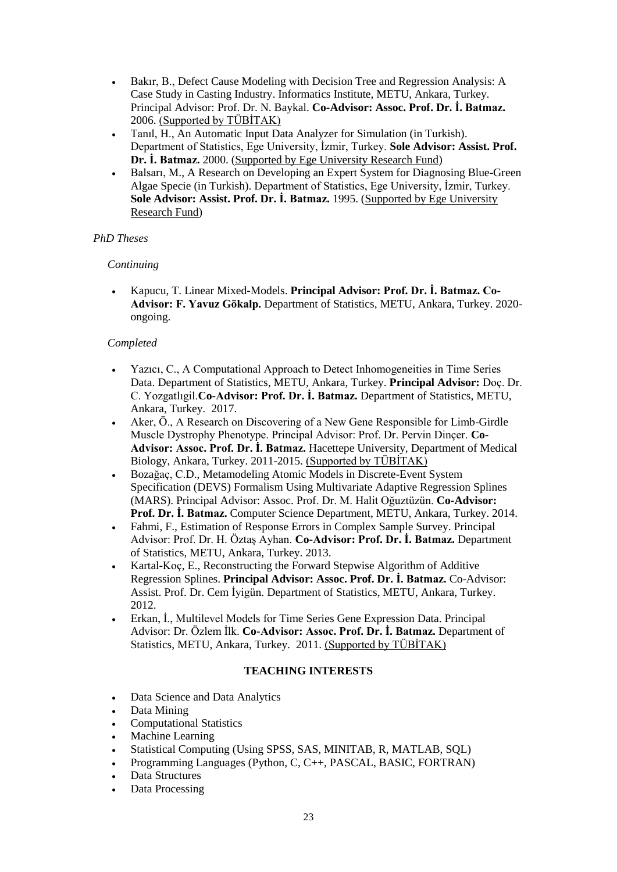- Bakır, B., Defect Cause Modeling with Decision Tree and Regression Analysis: A Case Study in Casting Industry. Informatics Institute, METU, Ankara, Turkey. Principal Advisor: Prof. Dr. N. Baykal. **Co-Advisor: Assoc. Prof. Dr. İ. Batmaz.** 2006. (Supported by TÜBİTAK)
- Tanıl, H., An Automatic Input Data Analyzer for Simulation (in Turkish). Department of Statistics, Ege University, İzmir, Turkey. **Sole Advisor: Assist. Prof. Dr. İ. Batmaz.** 2000. (Supported by Ege University Research Fund)
- Balsarı, M., A Research on Developing an Expert System for Diagnosing Blue-Green Algae Specie (in Turkish). Department of Statistics, Ege University, İzmir, Turkey. **Sole Advisor: Assist. Prof. Dr. İ. Batmaz.** 1995. (Supported by Ege University Research Fund)

# *PhD Theses*

# *Continuing*

 Kapucu, T. Linear Mixed-Models. **Principal Advisor: Prof. Dr. İ. Batmaz. Co-Advisor: F. Yavuz Gökalp.** Department of Statistics, METU, Ankara, Turkey. 2020 ongoing.

# *Completed*

- Yazıcı, C., A Computational Approach to Detect Inhomogeneities in Time Series Data. Department of Statistics, METU, Ankara, Turkey. **Principal Advisor:** Doç. Dr. C. Yozgatlıgil.**Co-Advisor: Prof. Dr. İ. Batmaz.** Department of Statistics, METU, Ankara, Turkey. 2017.
- Aker, Ö., A Research on Discovering of a New Gene Responsible for Limb-Girdle Muscle Dystrophy Phenotype. Principal Advisor: Prof. Dr. Pervin Dinçer. **Co-Advisor: Assoc. Prof. Dr. İ. Batmaz.** Hacettepe University, Department of Medical Biology, Ankara, Turkey. 2011-2015. (Supported by TÜBİTAK)
- Bozağaç, C.D., Metamodeling Atomic Models in Discrete-Event System Specification (DEVS) Formalism Using Multivariate Adaptive Regression Splines (MARS). Principal Advisor: Assoc. Prof. Dr. M. Halit Oğuztüzün. **Co-Advisor: Prof. Dr. İ. Batmaz.** Computer Science Department, METU, Ankara, Turkey. 2014.
- Fahmi, F., Estimation of Response Errors in Complex Sample Survey. Principal Advisor: Prof. Dr. H. Öztaş Ayhan. **Co-Advisor: Prof. Dr. İ. Batmaz.** Department of Statistics, METU, Ankara, Turkey. 2013.
- Kartal-Koç, E., Reconstructing the Forward Stepwise Algorithm of Additive Regression Splines. **Principal Advisor: Assoc. Prof. Dr. İ. Batmaz.** Co-Advisor: Assist. Prof. Dr. Cem İyigün. Department of Statistics, METU, Ankara, Turkey. 2012.
- Erkan, İ., Multilevel Models for Time Series Gene Expression Data. Principal Advisor: Dr. Özlem İlk. **Co-Advisor: Assoc. Prof. Dr. İ. Batmaz.** Department of Statistics, METU, Ankara, Turkey. 2011. (Supported by TÜBİTAK)

# **TEACHING INTERESTS**

- Data Science and Data Analytics
- Data Mining
- Computational Statistics
- Machine Learning
- Statistical Computing (Using SPSS, SAS, MINITAB, R, MATLAB, SQL)
- Programming Languages (Python, C, C++, PASCAL, BASIC, FORTRAN)
- Data Structures
- Data Processing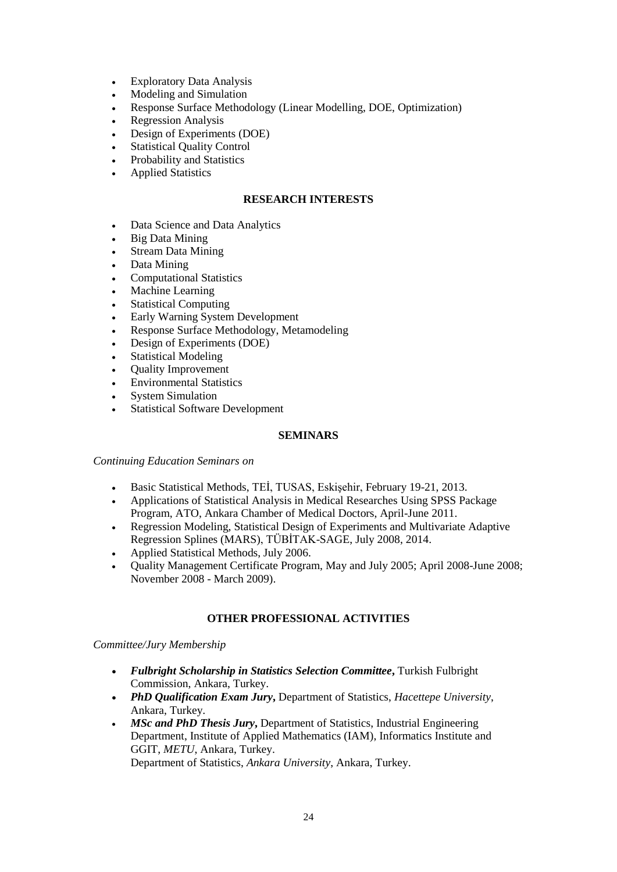- Exploratory Data Analysis
- Modeling and Simulation
- Response Surface Methodology (Linear Modelling, DOE, Optimization)
- Regression Analysis
- Design of Experiments (DOE)
- Statistical Quality Control
- Probability and Statistics
- Applied Statistics

## **RESEARCH INTERESTS**

- Data Science and Data Analytics
- Big Data Mining
- Stream Data Mining
- Data Mining
- Computational Statistics
- Machine Learning
- Statistical Computing
- Early Warning System Development
- Response Surface Methodology, Metamodeling
- Design of Experiments (DOE)
- Statistical Modeling
- Quality Improvement
- Environmental Statistics
- System Simulation
- Statistical Software Development

## **SEMINARS**

## *Continuing Education Seminars on*

- Basic Statistical Methods, TEİ, TUSAS, Eskişehir, February 19-21, 2013.
- Applications of Statistical Analysis in Medical Researches Using SPSS Package Program, ATO, Ankara Chamber of Medical Doctors, April-June 2011.
- Regression Modeling, Statistical Design of Experiments and Multivariate Adaptive Regression Splines (MARS), TÜBİTAK-SAGE, July 2008, 2014.
- Applied Statistical Methods, July 2006.
- Quality Management Certificate Program, May and July 2005; April 2008-June 2008; November 2008 - March 2009).

# **OTHER PROFESSIONAL ACTIVITIES**

## *Committee/Jury Membership*

- *Fulbright Scholarship in Statistics Selection Committee***,** Turkish Fulbright Commission, Ankara, Turkey.
- *PhD Qualification Exam Jury***,** Department of Statistics, *Hacettepe University*, Ankara, Turkey.
- *MSc and PhD Thesis Jury***,** Department of Statistics, Industrial Engineering Department, Institute of Applied Mathematics (IAM), Informatics Institute and GGIT, *METU*, Ankara, Turkey. Department of Statistics, *Ankara University*, Ankara, Turkey.

24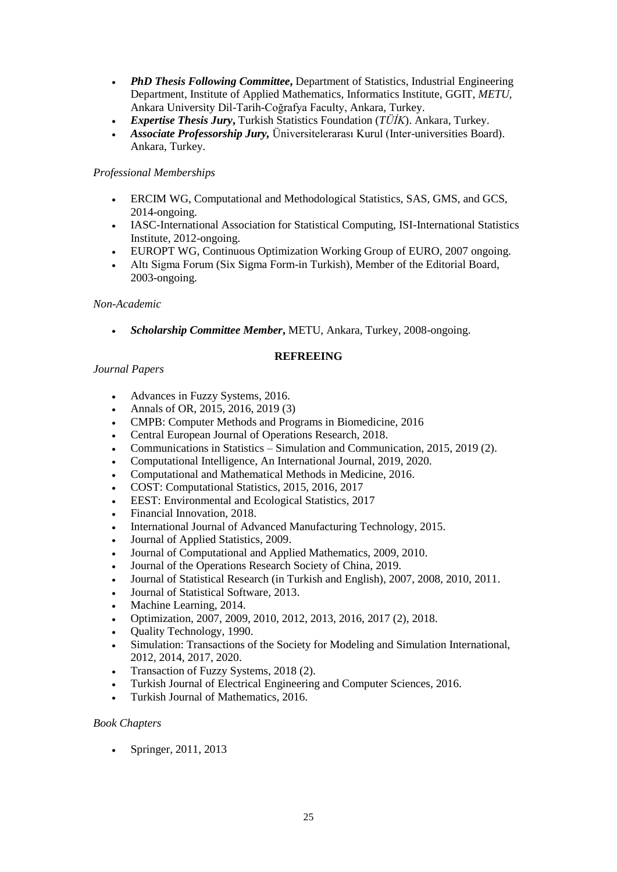- *PhD Thesis Following Committee***,** Department of Statistics, Industrial Engineering Department, Institute of Applied Mathematics, Informatics Institute, GGIT, *METU*, Ankara University Dil-Tarih-Coğrafya Faculty, Ankara, Turkey.
- *Expertise Thesis Jury***,** Turkish Statistics Foundation (*TÜİK*). Ankara, Turkey.
- *Associate Professorship Jury,* Üniversitelerarası Kurul (Inter-universities Board). Ankara, Turkey.

## *Professional Memberships*

- ERCIM WG, Computational and Methodological Statistics, SAS, GMS, and GCS, 2014-ongoing.
- IASC-International Association for Statistical Computing, ISI-International Statistics Institute, 2012-ongoing.
- EUROPT WG, Continuous Optimization Working Group of EURO, 2007 ongoing.
- Altı Sigma Forum (Six Sigma Form-in Turkish), Member of the Editorial Board, 2003-ongoing.

### *Non-Academic*

*Scholarship Committee Member***,** METU, Ankara, Turkey, 2008-ongoing.

## **REFREEING**

## *Journal Papers*

- Advances in Fuzzy Systems, 2016.
- Annals of OR, 2015, 2016, 2019 (3)
- CMPB: Computer Methods and Programs in Biomedicine, 2016
- Central European Journal of Operations Research, 2018.
- Communications in Statistics Simulation and Communication, 2015, 2019 (2).
- Computational Intelligence, An International Journal, 2019, 2020.
- Computational and Mathematical Methods in Medicine, 2016.
- COST: Computational Statistics, 2015, 2016, 2017
- EEST: Environmental and Ecological Statistics, 2017
- Financial Innovation, 2018.
- International Journal of Advanced Manufacturing Technology, 2015.
- Journal of Applied Statistics, 2009.
- Journal of Computational and Applied Mathematics, 2009, 2010.
- Journal of the Operations Research Society of China, 2019.
- Journal of Statistical Research (in Turkish and English), 2007, 2008, 2010, 2011.
- Journal of Statistical Software, 2013.
- Machine Learning, 2014.
- Optimization, 2007, 2009, 2010, 2012, 2013, 2016, 2017 (2), 2018.
- Quality Technology, 1990.
- Simulation: Transactions of the Society for Modeling and Simulation International, 2012, 2014, 2017, 2020.
- Transaction of Fuzzy Systems, 2018 (2).
- Turkish Journal of Electrical Engineering and Computer Sciences, 2016.
- Turkish Journal of Mathematics, 2016.

### *Book Chapters*

Springer, 2011, 2013